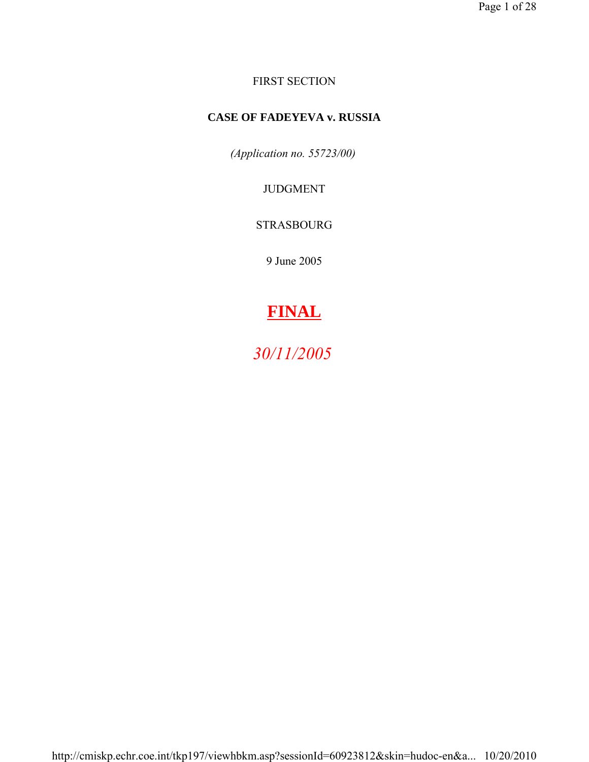# FIRST SECTION

# **CASE OF FADEYEVA v. RUSSIA**

*(Application no. 55723/00)*

# JUDGMENT

# STRASBOURG

9 June 2005

# **FINAL**

# *30/11/2005*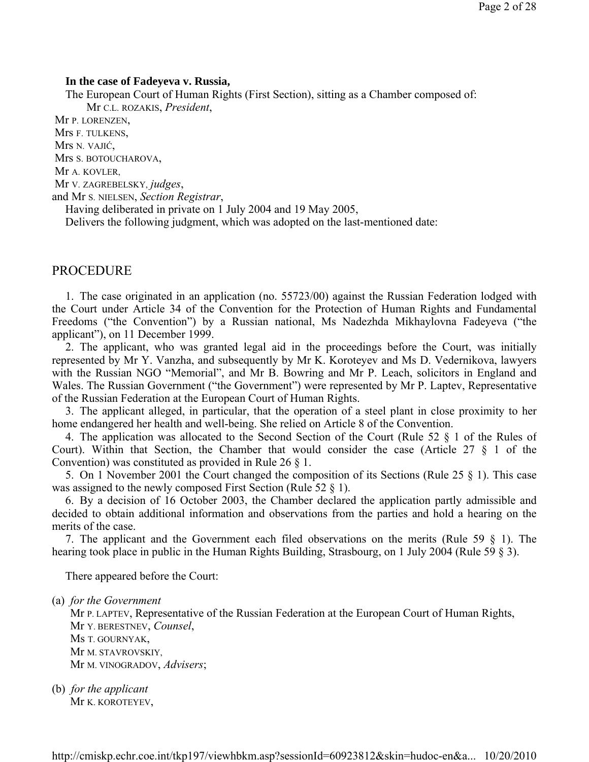#### **In the case of Fadeyeva v. Russia,**

The European Court of Human Rights (First Section), sitting as a Chamber composed of: Mr C.L. ROZAKIS, *President*,

 Mr P. LORENZEN, Mrs F. TULKENS, Mrs N. VAJIĆ, Mrs S. BOTOUCHAROVA,

Mr A. KOVLER,

Mr V. ZAGREBELSKY, *judges*,

and Mr S. NIELSEN, *Section Registrar*,

Having deliberated in private on 1 July 2004 and 19 May 2005,

Delivers the following judgment, which was adopted on the last-mentioned date:

# PROCEDURE

1. The case originated in an application (no. 55723/00) against the Russian Federation lodged with the Court under Article 34 of the Convention for the Protection of Human Rights and Fundamental Freedoms ("the Convention") by a Russian national, Ms Nadezhda Mikhaylovna Fadeyeva ("the applicant"), on 11 December 1999.

2. The applicant, who was granted legal aid in the proceedings before the Court, was initially represented by Mr Y. Vanzha, and subsequently by Mr K. Koroteyev and Ms D. Vedernikova, lawyers with the Russian NGO "Memorial", and Mr B. Bowring and Mr P. Leach, solicitors in England and Wales. The Russian Government ("the Government") were represented by Mr P. Laptev, Representative of the Russian Federation at the European Court of Human Rights.

3. The applicant alleged, in particular, that the operation of a steel plant in close proximity to her home endangered her health and well-being. She relied on Article 8 of the Convention.

4. The application was allocated to the Second Section of the Court (Rule 52 § 1 of the Rules of Court). Within that Section, the Chamber that would consider the case (Article 27 § 1 of the Convention) was constituted as provided in Rule 26 § 1.

5. On 1 November 2001 the Court changed the composition of its Sections (Rule 25 § 1). This case was assigned to the newly composed First Section (Rule 52 § 1).

6. By a decision of 16 October 2003, the Chamber declared the application partly admissible and decided to obtain additional information and observations from the parties and hold a hearing on the merits of the case.

7. The applicant and the Government each filed observations on the merits (Rule 59 § 1). The hearing took place in public in the Human Rights Building, Strasbourg, on 1 July 2004 (Rule 59 § 3).

There appeared before the Court:

(a) *for the Government*

Mr P. LAPTEV, Representative of the Russian Federation at the European Court of Human Rights, Mr Y. BERESTNEV, *Counsel*, Ms T. GOURNYAK, Mr M. STAVROVSKIY, Mr M. VINOGRADOV, *Advisers*;

(b) *for the applicant* Mr K. KOROTEYEV,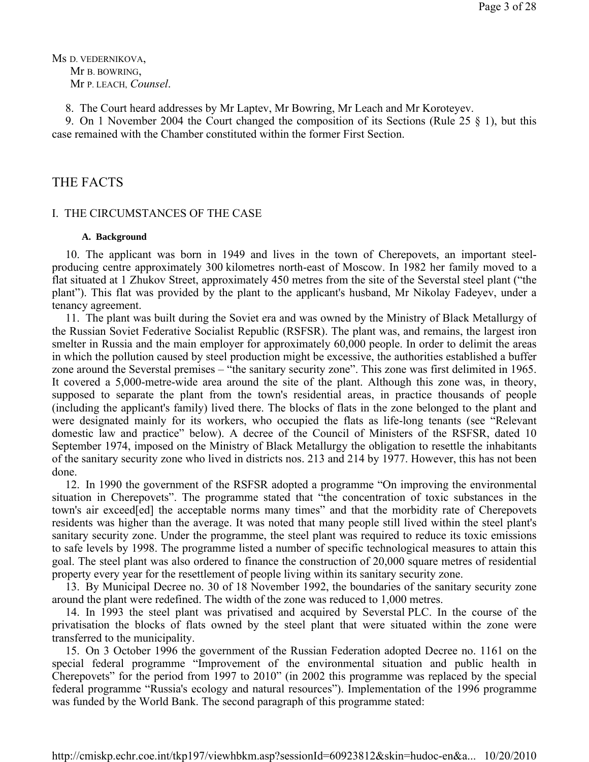Ms D. VEDERNIKOVA, Mr B. BOWRING, Mr P. LEACH, *Counsel*.

8. The Court heard addresses by Mr Laptev, Mr Bowring, Mr Leach and Mr Koroteyev.

9. On 1 November 2004 the Court changed the composition of its Sections (Rule 25 § 1), but this case remained with the Chamber constituted within the former First Section.

# THE FACTS

## I. THE CIRCUMSTANCES OF THE CASE

#### **A. Background**

10. The applicant was born in 1949 and lives in the town of Cherepovets, an important steelproducing centre approximately 300 kilometres north-east of Moscow. In 1982 her family moved to a flat situated at 1 Zhukov Street, approximately 450 metres from the site of the Severstal steel plant ("the plant"). This flat was provided by the plant to the applicant's husband, Mr Nikolay Fadeyev, under a tenancy agreement.

11. The plant was built during the Soviet era and was owned by the Ministry of Black Metallurgy of the Russian Soviet Federative Socialist Republic (RSFSR). The plant was, and remains, the largest iron smelter in Russia and the main employer for approximately 60,000 people. In order to delimit the areas in which the pollution caused by steel production might be excessive, the authorities established a buffer zone around the Severstal premises – "the sanitary security zone". This zone was first delimited in 1965. It covered a 5,000-metre-wide area around the site of the plant. Although this zone was, in theory, supposed to separate the plant from the town's residential areas, in practice thousands of people (including the applicant's family) lived there. The blocks of flats in the zone belonged to the plant and were designated mainly for its workers, who occupied the flats as life-long tenants (see "Relevant domestic law and practice" below). A decree of the Council of Ministers of the RSFSR, dated 10 September 1974, imposed on the Ministry of Black Metallurgy the obligation to resettle the inhabitants of the sanitary security zone who lived in districts nos. 213 and 214 by 1977. However, this has not been done.

12. In 1990 the government of the RSFSR adopted a programme "On improving the environmental situation in Cherepovets". The programme stated that "the concentration of toxic substances in the town's air exceed[ed] the acceptable norms many times" and that the morbidity rate of Cherepovets residents was higher than the average. It was noted that many people still lived within the steel plant's sanitary security zone. Under the programme, the steel plant was required to reduce its toxic emissions to safe levels by 1998. The programme listed a number of specific technological measures to attain this goal. The steel plant was also ordered to finance the construction of 20,000 square metres of residential property every year for the resettlement of people living within its sanitary security zone.

13. By Municipal Decree no. 30 of 18 November 1992, the boundaries of the sanitary security zone around the plant were redefined. The width of the zone was reduced to 1,000 metres.

14. In 1993 the steel plant was privatised and acquired by Severstal PLC. In the course of the privatisation the blocks of flats owned by the steel plant that were situated within the zone were transferred to the municipality.

15. On 3 October 1996 the government of the Russian Federation adopted Decree no. 1161 on the special federal programme "Improvement of the environmental situation and public health in Cherepovets" for the period from 1997 to 2010" (in 2002 this programme was replaced by the special federal programme "Russia's ecology and natural resources"). Implementation of the 1996 programme was funded by the World Bank. The second paragraph of this programme stated: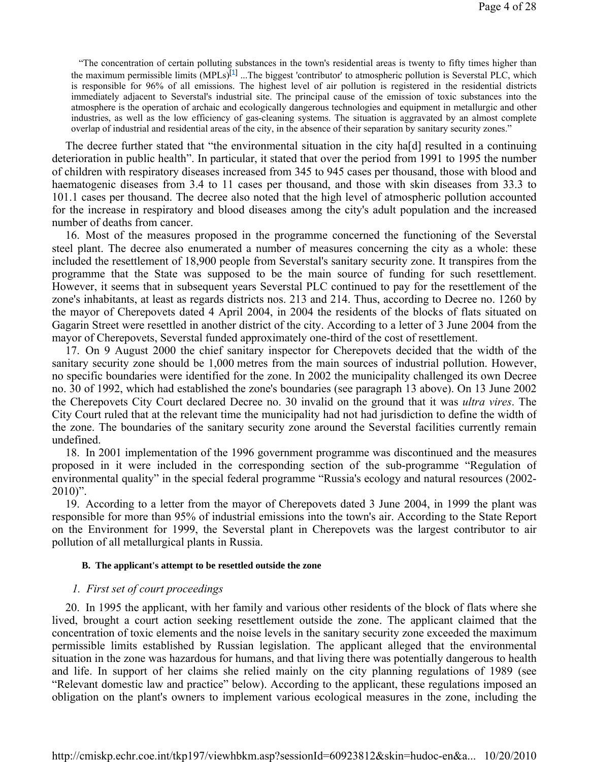"The concentration of certain polluting substances in the town's residential areas is twenty to fifty times higher than the maximum permissible limits (MPLs)<sup>[1]</sup> ...The biggest 'contributor' to atmospheric pollution is Severstal PLC, which is responsible for 96% of all emissions. The highest level of air pollution is registered in the residential districts immediately adjacent to Severstal's industrial site. The principal cause of the emission of toxic substances into the atmosphere is the operation of archaic and ecologically dangerous technologies and equipment in metallurgic and other industries, as well as the low efficiency of gas-cleaning systems. The situation is aggravated by an almost complete overlap of industrial and residential areas of the city, in the absence of their separation by sanitary security zones."

The decree further stated that "the environmental situation in the city ha[d] resulted in a continuing deterioration in public health". In particular, it stated that over the period from 1991 to 1995 the number of children with respiratory diseases increased from 345 to 945 cases per thousand, those with blood and haematogenic diseases from 3.4 to 11 cases per thousand, and those with skin diseases from 33.3 to 101.1 cases per thousand. The decree also noted that the high level of atmospheric pollution accounted for the increase in respiratory and blood diseases among the city's adult population and the increased number of deaths from cancer.

16. Most of the measures proposed in the programme concerned the functioning of the Severstal steel plant. The decree also enumerated a number of measures concerning the city as a whole: these included the resettlement of 18,900 people from Severstal's sanitary security zone. It transpires from the programme that the State was supposed to be the main source of funding for such resettlement. However, it seems that in subsequent years Severstal PLC continued to pay for the resettlement of the zone's inhabitants, at least as regards districts nos. 213 and 214. Thus, according to Decree no. 1260 by the mayor of Cherepovets dated 4 April 2004, in 2004 the residents of the blocks of flats situated on Gagarin Street were resettled in another district of the city. According to a letter of 3 June 2004 from the mayor of Cherepovets, Severstal funded approximately one-third of the cost of resettlement.

17. On 9 August 2000 the chief sanitary inspector for Cherepovets decided that the width of the sanitary security zone should be 1,000 metres from the main sources of industrial pollution. However, no specific boundaries were identified for the zone. In 2002 the municipality challenged its own Decree no. 30 of 1992, which had established the zone's boundaries (see paragraph 13 above). On 13 June 2002 the Cherepovets City Court declared Decree no. 30 invalid on the ground that it was *ultra vires*. The City Court ruled that at the relevant time the municipality had not had jurisdiction to define the width of the zone. The boundaries of the sanitary security zone around the Severstal facilities currently remain undefined.

18. In 2001 implementation of the 1996 government programme was discontinued and the measures proposed in it were included in the corresponding section of the sub-programme "Regulation of environmental quality" in the special federal programme "Russia's ecology and natural resources (2002-  $2010$ ".

19. According to a letter from the mayor of Cherepovets dated 3 June 2004, in 1999 the plant was responsible for more than 95% of industrial emissions into the town's air. According to the State Report on the Environment for 1999, the Severstal plant in Cherepovets was the largest contributor to air pollution of all metallurgical plants in Russia.

#### **B. The applicant's attempt to be resettled outside the zone**

#### *1. First set of court proceedings*

20. In 1995 the applicant, with her family and various other residents of the block of flats where she lived, brought a court action seeking resettlement outside the zone. The applicant claimed that the concentration of toxic elements and the noise levels in the sanitary security zone exceeded the maximum permissible limits established by Russian legislation. The applicant alleged that the environmental situation in the zone was hazardous for humans, and that living there was potentially dangerous to health and life. In support of her claims she relied mainly on the city planning regulations of 1989 (see "Relevant domestic law and practice" below). According to the applicant, these regulations imposed an obligation on the plant's owners to implement various ecological measures in the zone, including the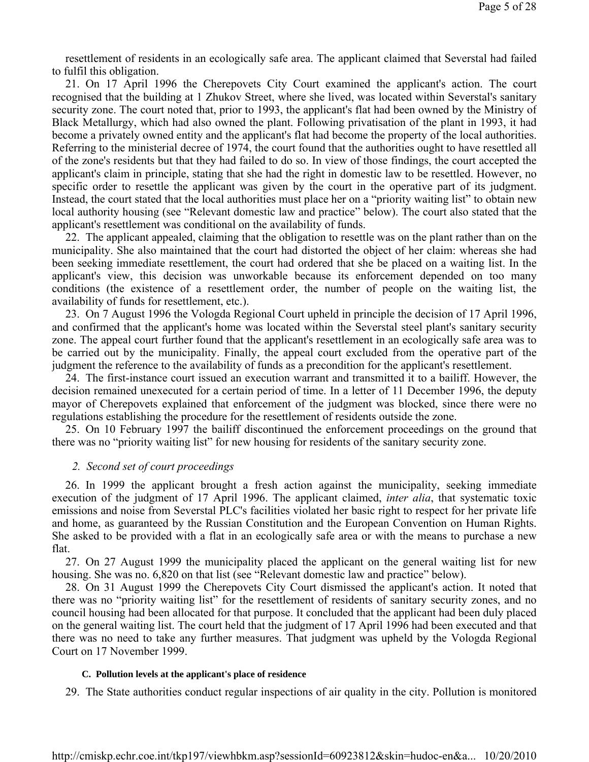resettlement of residents in an ecologically safe area. The applicant claimed that Severstal had failed to fulfil this obligation.

21. On 17 April 1996 the Cherepovets City Court examined the applicant's action. The court recognised that the building at 1 Zhukov Street, where she lived, was located within Severstal's sanitary security zone. The court noted that, prior to 1993, the applicant's flat had been owned by the Ministry of Black Metallurgy, which had also owned the plant. Following privatisation of the plant in 1993, it had become a privately owned entity and the applicant's flat had become the property of the local authorities. Referring to the ministerial decree of 1974, the court found that the authorities ought to have resettled all of the zone's residents but that they had failed to do so. In view of those findings, the court accepted the applicant's claim in principle, stating that she had the right in domestic law to be resettled. However, no specific order to resettle the applicant was given by the court in the operative part of its judgment. Instead, the court stated that the local authorities must place her on a "priority waiting list" to obtain new local authority housing (see "Relevant domestic law and practice" below). The court also stated that the applicant's resettlement was conditional on the availability of funds.

22. The applicant appealed, claiming that the obligation to resettle was on the plant rather than on the municipality. She also maintained that the court had distorted the object of her claim: whereas she had been seeking immediate resettlement, the court had ordered that she be placed on a waiting list. In the applicant's view, this decision was unworkable because its enforcement depended on too many conditions (the existence of a resettlement order, the number of people on the waiting list, the availability of funds for resettlement, etc.).

23. On 7 August 1996 the Vologda Regional Court upheld in principle the decision of 17 April 1996, and confirmed that the applicant's home was located within the Severstal steel plant's sanitary security zone. The appeal court further found that the applicant's resettlement in an ecologically safe area was to be carried out by the municipality. Finally, the appeal court excluded from the operative part of the judgment the reference to the availability of funds as a precondition for the applicant's resettlement.

24. The first-instance court issued an execution warrant and transmitted it to a bailiff. However, the decision remained unexecuted for a certain period of time. In a letter of 11 December 1996, the deputy mayor of Cherepovets explained that enforcement of the judgment was blocked, since there were no regulations establishing the procedure for the resettlement of residents outside the zone.

25. On 10 February 1997 the bailiff discontinued the enforcement proceedings on the ground that there was no "priority waiting list" for new housing for residents of the sanitary security zone.

## *2. Second set of court proceedings*

26. In 1999 the applicant brought a fresh action against the municipality, seeking immediate execution of the judgment of 17 April 1996. The applicant claimed, *inter alia*, that systematic toxic emissions and noise from Severstal PLC's facilities violated her basic right to respect for her private life and home, as guaranteed by the Russian Constitution and the European Convention on Human Rights. She asked to be provided with a flat in an ecologically safe area or with the means to purchase a new flat.

27. On 27 August 1999 the municipality placed the applicant on the general waiting list for new housing. She was no. 6,820 on that list (see "Relevant domestic law and practice" below).

28. On 31 August 1999 the Cherepovets City Court dismissed the applicant's action. It noted that there was no "priority waiting list" for the resettlement of residents of sanitary security zones, and no council housing had been allocated for that purpose. It concluded that the applicant had been duly placed on the general waiting list. The court held that the judgment of 17 April 1996 had been executed and that there was no need to take any further measures. That judgment was upheld by the Vologda Regional Court on 17 November 1999.

#### **C. Pollution levels at the applicant's place of residence**

29. The State authorities conduct regular inspections of air quality in the city. Pollution is monitored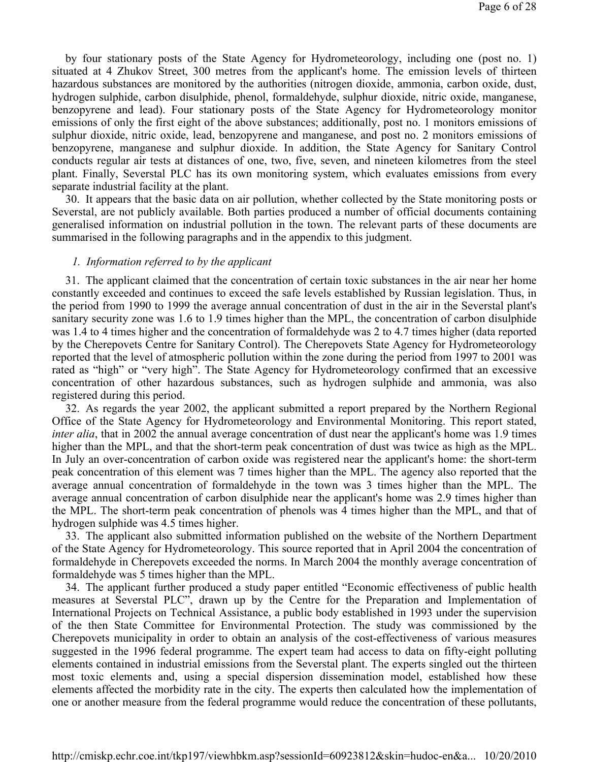by four stationary posts of the State Agency for Hydrometeorology, including one (post no. 1) situated at 4 Zhukov Street, 300 metres from the applicant's home. The emission levels of thirteen hazardous substances are monitored by the authorities (nitrogen dioxide, ammonia, carbon oxide, dust, hydrogen sulphide, carbon disulphide, phenol, formaldehyde, sulphur dioxide, nitric oxide, manganese, benzopyrene and lead). Four stationary posts of the State Agency for Hydrometeorology monitor emissions of only the first eight of the above substances; additionally, post no. 1 monitors emissions of sulphur dioxide, nitric oxide, lead, benzopyrene and manganese, and post no. 2 monitors emissions of benzopyrene, manganese and sulphur dioxide. In addition, the State Agency for Sanitary Control conducts regular air tests at distances of one, two, five, seven, and nineteen kilometres from the steel plant. Finally, Severstal PLC has its own monitoring system, which evaluates emissions from every separate industrial facility at the plant.

30. It appears that the basic data on air pollution, whether collected by the State monitoring posts or Severstal, are not publicly available. Both parties produced a number of official documents containing generalised information on industrial pollution in the town. The relevant parts of these documents are summarised in the following paragraphs and in the appendix to this judgment.

## *1. Information referred to by the applicant*

31. The applicant claimed that the concentration of certain toxic substances in the air near her home constantly exceeded and continues to exceed the safe levels established by Russian legislation. Thus, in the period from 1990 to 1999 the average annual concentration of dust in the air in the Severstal plant's sanitary security zone was 1.6 to 1.9 times higher than the MPL, the concentration of carbon disulphide was 1.4 to 4 times higher and the concentration of formaldehyde was 2 to 4.7 times higher (data reported by the Cherepovets Centre for Sanitary Control). The Cherepovets State Agency for Hydrometeorology reported that the level of atmospheric pollution within the zone during the period from 1997 to 2001 was rated as "high" or "very high". The State Agency for Hydrometeorology confirmed that an excessive concentration of other hazardous substances, such as hydrogen sulphide and ammonia, was also registered during this period.

32. As regards the year 2002, the applicant submitted a report prepared by the Northern Regional Office of the State Agency for Hydrometeorology and Environmental Monitoring. This report stated, *inter alia*, that in 2002 the annual average concentration of dust near the applicant's home was 1.9 times higher than the MPL, and that the short-term peak concentration of dust was twice as high as the MPL. In July an over-concentration of carbon oxide was registered near the applicant's home: the short-term peak concentration of this element was 7 times higher than the MPL. The agency also reported that the average annual concentration of formaldehyde in the town was 3 times higher than the MPL. The average annual concentration of carbon disulphide near the applicant's home was 2.9 times higher than the MPL. The short-term peak concentration of phenols was 4 times higher than the MPL, and that of hydrogen sulphide was 4.5 times higher.

33. The applicant also submitted information published on the website of the Northern Department of the State Agency for Hydrometeorology. This source reported that in April 2004 the concentration of formaldehyde in Cherepovets exceeded the norms. In March 2004 the monthly average concentration of formaldehyde was 5 times higher than the MPL.

34. The applicant further produced a study paper entitled "Economic effectiveness of public health measures at Severstal PLC", drawn up by the Centre for the Preparation and Implementation of International Projects on Technical Assistance, a public body established in 1993 under the supervision of the then State Committee for Environmental Protection. The study was commissioned by the Cherepovets municipality in order to obtain an analysis of the cost-effectiveness of various measures suggested in the 1996 federal programme. The expert team had access to data on fifty-eight polluting elements contained in industrial emissions from the Severstal plant. The experts singled out the thirteen most toxic elements and, using a special dispersion dissemination model, established how these elements affected the morbidity rate in the city. The experts then calculated how the implementation of one or another measure from the federal programme would reduce the concentration of these pollutants,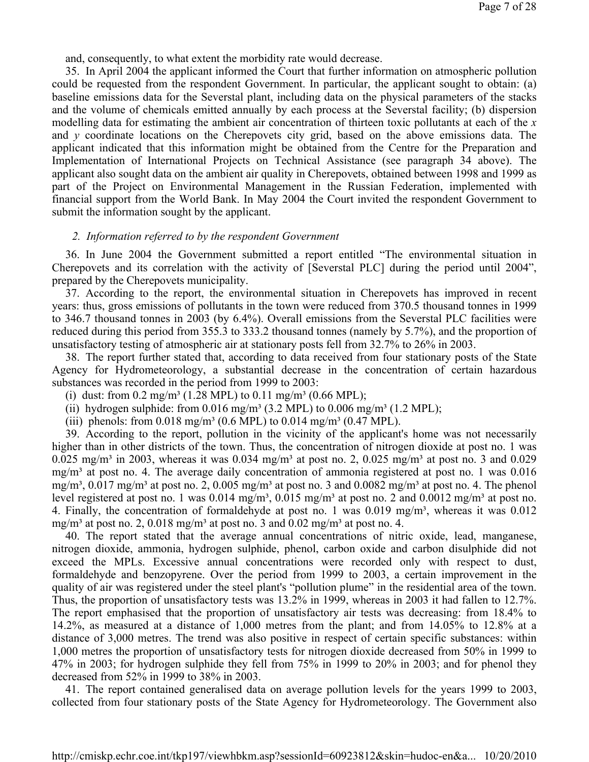and, consequently, to what extent the morbidity rate would decrease.

35. In April 2004 the applicant informed the Court that further information on atmospheric pollution could be requested from the respondent Government. In particular, the applicant sought to obtain: (a) baseline emissions data for the Severstal plant, including data on the physical parameters of the stacks and the volume of chemicals emitted annually by each process at the Severstal facility; (b) dispersion modelling data for estimating the ambient air concentration of thirteen toxic pollutants at each of the *x* and *y* coordinate locations on the Cherepovets city grid, based on the above emissions data. The applicant indicated that this information might be obtained from the Centre for the Preparation and Implementation of International Projects on Technical Assistance (see paragraph 34 above). The applicant also sought data on the ambient air quality in Cherepovets, obtained between 1998 and 1999 as part of the Project on Environmental Management in the Russian Federation, implemented with financial support from the World Bank. In May 2004 the Court invited the respondent Government to submit the information sought by the applicant.

#### *2. Information referred to by the respondent Government*

36. In June 2004 the Government submitted a report entitled "The environmental situation in Cherepovets and its correlation with the activity of [Severstal PLC] during the period until 2004", prepared by the Cherepovets municipality.

37. According to the report, the environmental situation in Cherepovets has improved in recent years: thus, gross emissions of pollutants in the town were reduced from 370.5 thousand tonnes in 1999 to 346.7 thousand tonnes in 2003 (by 6.4%). Overall emissions from the Severstal PLC facilities were reduced during this period from 355.3 to 333.2 thousand tonnes (namely by 5.7%), and the proportion of unsatisfactory testing of atmospheric air at stationary posts fell from 32.7% to 26% in 2003.

38. The report further stated that, according to data received from four stationary posts of the State Agency for Hydrometeorology, a substantial decrease in the concentration of certain hazardous substances was recorded in the period from 1999 to 2003:

- (i) dust: from  $0.2 \text{ mg/m}^3$  (1.28 MPL) to  $0.11 \text{ mg/m}^3$  (0.66 MPL);
- (ii) hydrogen sulphide: from  $0.016$  mg/m<sup>3</sup> (3.2 MPL) to 0.006 mg/m<sup>3</sup> (1.2 MPL);
- (iii) phenols: from  $0.018 \text{ mg/m}^3$  (0.6 MPL) to  $0.014 \text{ mg/m}^3$  (0.47 MPL).

39. According to the report, pollution in the vicinity of the applicant's home was not necessarily higher than in other districts of the town. Thus, the concentration of nitrogen dioxide at post no. 1 was 0.025 mg/m<sup>3</sup> in 2003, whereas it was 0.034 mg/m<sup>3</sup> at post no. 2, 0.025 mg/m<sup>3</sup> at post no. 3 and 0.029  $mg/m<sup>3</sup>$  at post no. 4. The average daily concentration of ammonia registered at post no. 1 was 0.016 mg/m<sup>3</sup>, 0.017 mg/m<sup>3</sup> at post no. 2, 0.005 mg/m<sup>3</sup> at post no. 3 and 0.0082 mg/m<sup>3</sup> at post no. 4. The phenol level registered at post no. 1 was  $0.014$  mg/m<sup>3</sup>,  $0.015$  mg/m<sup>3</sup> at post no. 2 and  $0.0012$  mg/m<sup>3</sup> at post no. 4. Finally, the concentration of formaldehyde at post no. 1 was 0.019 mg/m<sup>3</sup>, whereas it was 0.012 mg/m<sup>3</sup> at post no. 2, 0.018 mg/m<sup>3</sup> at post no. 3 and 0.02 mg/m<sup>3</sup> at post no. 4.

40. The report stated that the average annual concentrations of nitric oxide, lead, manganese, nitrogen dioxide, ammonia, hydrogen sulphide, phenol, carbon oxide and carbon disulphide did not exceed the MPLs. Excessive annual concentrations were recorded only with respect to dust, formaldehyde and benzopyrene. Over the period from 1999 to 2003, a certain improvement in the quality of air was registered under the steel plant's "pollution plume" in the residential area of the town. Thus, the proportion of unsatisfactory tests was 13.2% in 1999, whereas in 2003 it had fallen to 12.7%. The report emphasised that the proportion of unsatisfactory air tests was decreasing: from 18.4% to 14.2%, as measured at a distance of 1,000 metres from the plant; and from 14.05% to 12.8% at a distance of 3,000 metres. The trend was also positive in respect of certain specific substances: within 1,000 metres the proportion of unsatisfactory tests for nitrogen dioxide decreased from 50% in 1999 to 47% in 2003; for hydrogen sulphide they fell from 75% in 1999 to 20% in 2003; and for phenol they decreased from 52% in 1999 to 38% in 2003.

41. The report contained generalised data on average pollution levels for the years 1999 to 2003, collected from four stationary posts of the State Agency for Hydrometeorology. The Government also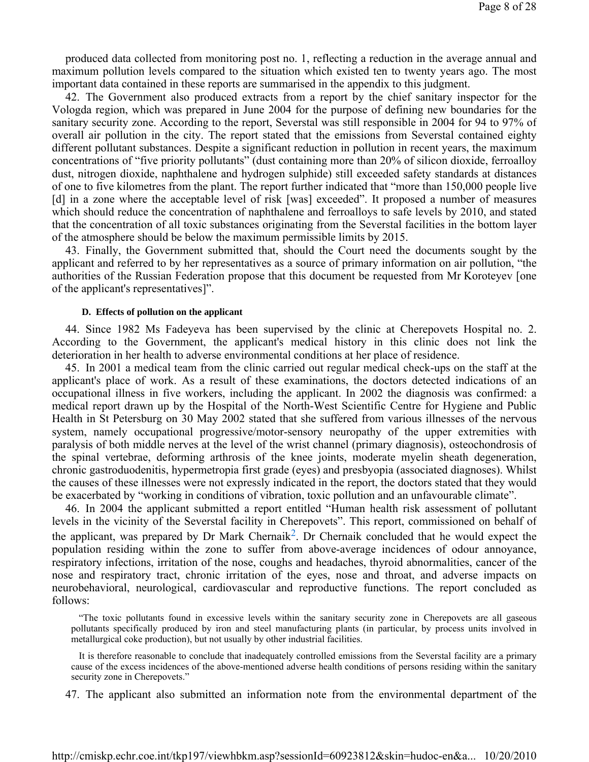produced data collected from monitoring post no. 1, reflecting a reduction in the average annual and maximum pollution levels compared to the situation which existed ten to twenty years ago. The most important data contained in these reports are summarised in the appendix to this judgment.

42. The Government also produced extracts from a report by the chief sanitary inspector for the Vologda region, which was prepared in June 2004 for the purpose of defining new boundaries for the sanitary security zone. According to the report, Severstal was still responsible in 2004 for 94 to 97% of overall air pollution in the city. The report stated that the emissions from Severstal contained eighty different pollutant substances. Despite a significant reduction in pollution in recent years, the maximum concentrations of "five priority pollutants" (dust containing more than 20% of silicon dioxide, ferroalloy dust, nitrogen dioxide, naphthalene and hydrogen sulphide) still exceeded safety standards at distances of one to five kilometres from the plant. The report further indicated that "more than 150,000 people live [d] in a zone where the acceptable level of risk [was] exceeded". It proposed a number of measures which should reduce the concentration of naphthalene and ferroalloys to safe levels by 2010, and stated that the concentration of all toxic substances originating from the Severstal facilities in the bottom layer of the atmosphere should be below the maximum permissible limits by 2015.

43. Finally, the Government submitted that, should the Court need the documents sought by the applicant and referred to by her representatives as a source of primary information on air pollution, "the authorities of the Russian Federation propose that this document be requested from Mr Koroteyev [one of the applicant's representatives]".

#### **D. Effects of pollution on the applicant**

44. Since 1982 Ms Fadeyeva has been supervised by the clinic at Cherepovets Hospital no. 2. According to the Government, the applicant's medical history in this clinic does not link the deterioration in her health to adverse environmental conditions at her place of residence.

45. In 2001 a medical team from the clinic carried out regular medical check-ups on the staff at the applicant's place of work. As a result of these examinations, the doctors detected indications of an occupational illness in five workers, including the applicant. In 2002 the diagnosis was confirmed: a medical report drawn up by the Hospital of the North-West Scientific Centre for Hygiene and Public Health in St Petersburg on 30 May 2002 stated that she suffered from various illnesses of the nervous system, namely occupational progressive/motor-sensory neuropathy of the upper extremities with paralysis of both middle nerves at the level of the wrist channel (primary diagnosis), osteochondrosis of the spinal vertebrae, deforming arthrosis of the knee joints, moderate myelin sheath degeneration, chronic gastroduodenitis, hypermetropia first grade (eyes) and presbyopia (associated diagnoses). Whilst the causes of these illnesses were not expressly indicated in the report, the doctors stated that they would be exacerbated by "working in conditions of vibration, toxic pollution and an unfavourable climate".

46. In 2004 the applicant submitted a report entitled "Human health risk assessment of pollutant levels in the vicinity of the Severstal facility in Cherepovets". This report, commissioned on behalf of the applicant, was prepared by Dr Mark Chernaik<sup>2</sup>. Dr Chernaik concluded that he would expect the population residing within the zone to suffer from above-average incidences of odour annoyance, respiratory infections, irritation of the nose, coughs and headaches, thyroid abnormalities, cancer of the nose and respiratory tract, chronic irritation of the eyes, nose and throat, and adverse impacts on neurobehavioral, neurological, cardiovascular and reproductive functions. The report concluded as follows:

"The toxic pollutants found in excessive levels within the sanitary security zone in Cherepovets are all gaseous pollutants specifically produced by iron and steel manufacturing plants (in particular, by process units involved in metallurgical coke production), but not usually by other industrial facilities.

It is therefore reasonable to conclude that inadequately controlled emissions from the Severstal facility are a primary cause of the excess incidences of the above-mentioned adverse health conditions of persons residing within the sanitary security zone in Cherepovets."

47. The applicant also submitted an information note from the environmental department of the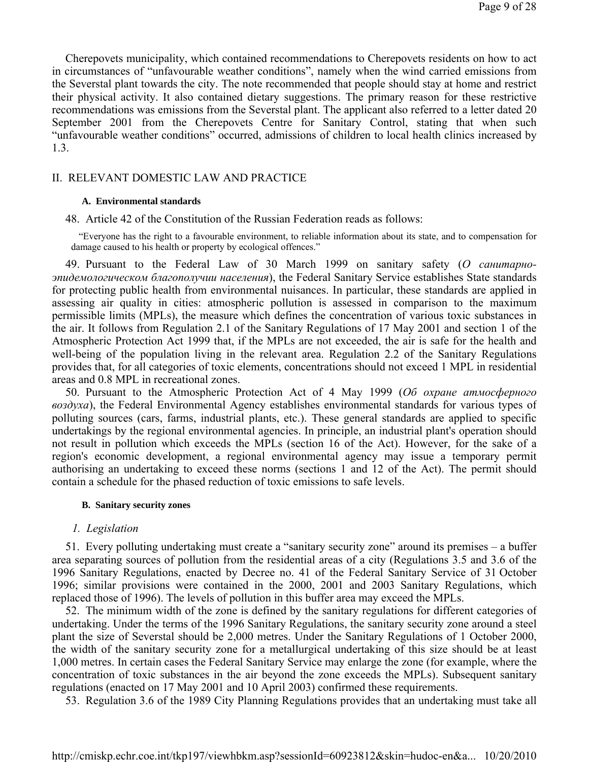Cherepovets municipality, which contained recommendations to Cherepovets residents on how to act in circumstances of "unfavourable weather conditions", namely when the wind carried emissions from the Severstal plant towards the city. The note recommended that people should stay at home and restrict their physical activity. It also contained dietary suggestions. The primary reason for these restrictive recommendations was emissions from the Severstal plant. The applicant also referred to a letter dated 20 September 2001 from the Cherepovets Centre for Sanitary Control, stating that when such "unfavourable weather conditions" occurred, admissions of children to local health clinics increased by 1.3.

#### II. RELEVANT DOMESTIC LAW AND PRACTICE

#### **A. Environmental standards**

#### 48. Article 42 of the Constitution of the Russian Federation reads as follows:

"Everyone has the right to a favourable environment, to reliable information about its state, and to compensation for damage caused to his health or property by ecological offences."

49. Pursuant to the Federal Law of 30 March 1999 on sanitary safety (*О санитарноэпидемологическом благополучии населения*), the Federal Sanitary Service establishes State standards for protecting public health from environmental nuisances. In particular, these standards are applied in assessing air quality in cities: atmospheric pollution is assessed in comparison to the maximum permissible limits (MPLs), the measure which defines the concentration of various toxic substances in the air. It follows from Regulation 2.1 of the Sanitary Regulations of 17 May 2001 and section 1 of the Atmospheric Protection Act 1999 that, if the MPLs are not exceeded, the air is safe for the health and well-being of the population living in the relevant area. Regulation 2.2 of the Sanitary Regulations provides that, for all categories of toxic elements, concentrations should not exceed 1 MPL in residential areas and 0.8 MPL in recreational zones.

50. Pursuant to the Atmospheric Protection Act of 4 May 1999 (*Об охране атмосферного воздуха*), the Federal Environmental Agency establishes environmental standards for various types of polluting sources (cars, farms, industrial plants, etc.). These general standards are applied to specific undertakings by the regional environmental agencies. In principle, an industrial plant's operation should not result in pollution which exceeds the MPLs (section 16 of the Act). However, for the sake of a region's economic development, a regional environmental agency may issue a temporary permit authorising an undertaking to exceed these norms (sections 1 and 12 of the Act). The permit should contain a schedule for the phased reduction of toxic emissions to safe levels.

#### **B. Sanitary security zones**

#### *1. Legislation*

51. Every polluting undertaking must create a "sanitary security zone" around its premises – a buffer area separating sources of pollution from the residential areas of a city (Regulations 3.5 and 3.6 of the 1996 Sanitary Regulations, enacted by Decree no. 41 of the Federal Sanitary Service of 31 October 1996; similar provisions were contained in the 2000, 2001 and 2003 Sanitary Regulations, which replaced those of 1996). The levels of pollution in this buffer area may exceed the MPLs.

52. The minimum width of the zone is defined by the sanitary regulations for different categories of undertaking. Under the terms of the 1996 Sanitary Regulations, the sanitary security zone around a steel plant the size of Severstal should be 2,000 metres. Under the Sanitary Regulations of 1 October 2000, the width of the sanitary security zone for a metallurgical undertaking of this size should be at least 1,000 metres. In certain cases the Federal Sanitary Service may enlarge the zone (for example, where the concentration of toxic substances in the air beyond the zone exceeds the MPLs). Subsequent sanitary regulations (enacted on 17 May 2001 and 10 April 2003) confirmed these requirements.

53. Regulation 3.6 of the 1989 City Planning Regulations provides that an undertaking must take all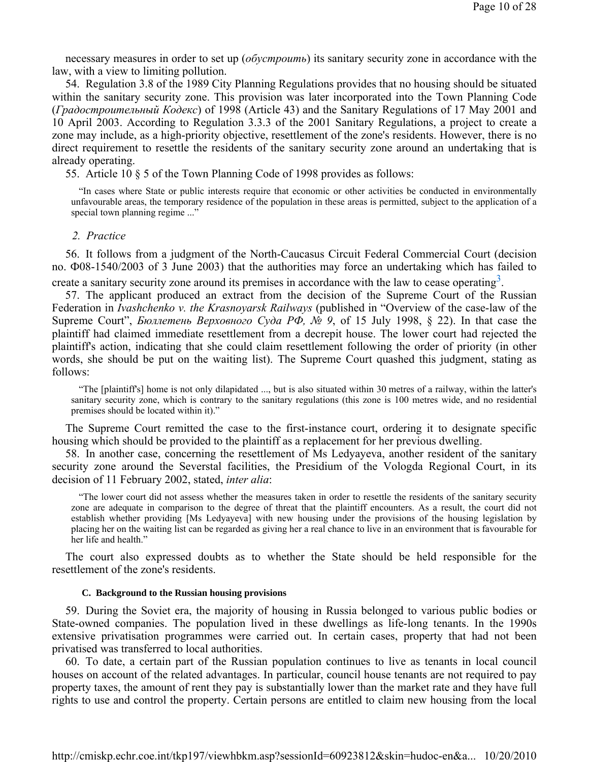necessary measures in order to set up (*обустроить*) its sanitary security zone in accordance with the law, with a view to limiting pollution.

54. Regulation 3.8 of the 1989 City Planning Regulations provides that no housing should be situated within the sanitary security zone. This provision was later incorporated into the Town Planning Code (*Градостроительный Кодекс*) of 1998 (Article 43) and the Sanitary Regulations of 17 May 2001 and 10 April 2003. According to Regulation 3.3.3 of the 2001 Sanitary Regulations, a project to create a zone may include, as a high-priority objective, resettlement of the zone's residents. However, there is no direct requirement to resettle the residents of the sanitary security zone around an undertaking that is already operating.

55. Article 10 § 5 of the Town Planning Code of 1998 provides as follows:

"In cases where State or public interests require that economic or other activities be conducted in environmentally unfavourable areas, the temporary residence of the population in these areas is permitted, subject to the application of a special town planning regime ..."

#### *2. Practice*

56. It follows from a judgment of the North-Caucasus Circuit Federal Commercial Court (decision no. Ф08-1540/2003 of 3 June 2003) that the authorities may force an undertaking which has failed to create a sanitary security zone around its premises in accordance with the law to cease operating<sup>3</sup>.

57. The applicant produced an extract from the decision of the Supreme Court of the Russian Federation in *Ivashchenko v. the Krasnoyarsk Railways* (published in "Overview of the case-law of the Supreme Court", *Бюллетень Верховного Суда РФ, № 9*, of 15 July 1998, § 22). In that case the plaintiff had claimed immediate resettlement from a decrepit house. The lower court had rejected the plaintiff's action, indicating that she could claim resettlement following the order of priority (in other words, she should be put on the waiting list). The Supreme Court quashed this judgment, stating as follows:

"The [plaintiff's] home is not only dilapidated ..., but is also situated within 30 metres of a railway, within the latter's sanitary security zone, which is contrary to the sanitary regulations (this zone is 100 metres wide, and no residential premises should be located within it)."

The Supreme Court remitted the case to the first-instance court, ordering it to designate specific housing which should be provided to the plaintiff as a replacement for her previous dwelling.

58. In another case, concerning the resettlement of Ms Ledyayeva, another resident of the sanitary security zone around the Severstal facilities, the Presidium of the Vologda Regional Court, in its decision of 11 February 2002, stated, *inter alia*:

"The lower court did not assess whether the measures taken in order to resettle the residents of the sanitary security zone are adequate in comparison to the degree of threat that the plaintiff encounters. As a result, the court did not establish whether providing [Ms Ledyayeva] with new housing under the provisions of the housing legislation by placing her on the waiting list can be regarded as giving her a real chance to live in an environment that is favourable for her life and health."

The court also expressed doubts as to whether the State should be held responsible for the resettlement of the zone's residents.

#### **C. Background to the Russian housing provisions**

59. During the Soviet era, the majority of housing in Russia belonged to various public bodies or State-owned companies. The population lived in these dwellings as life-long tenants. In the 1990s extensive privatisation programmes were carried out. In certain cases, property that had not been privatised was transferred to local authorities.

60. To date, a certain part of the Russian population continues to live as tenants in local council houses on account of the related advantages. In particular, council house tenants are not required to pay property taxes, the amount of rent they pay is substantially lower than the market rate and they have full rights to use and control the property. Certain persons are entitled to claim new housing from the local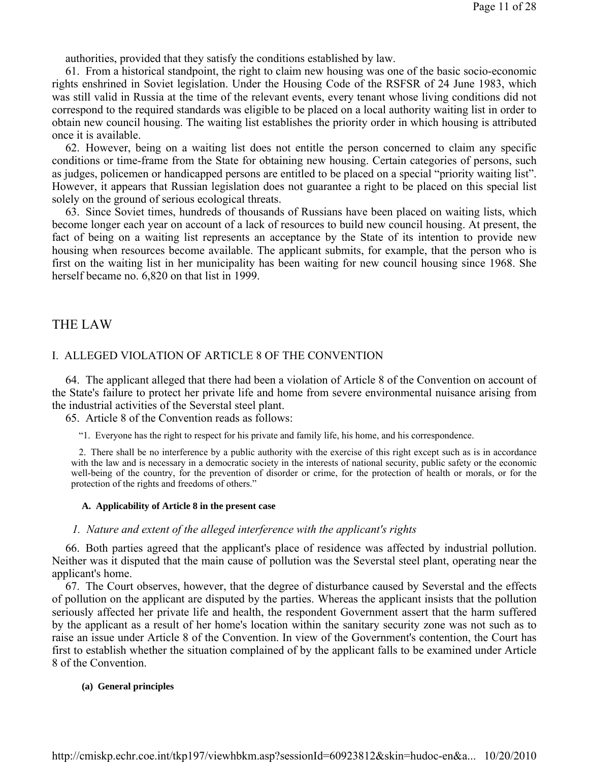authorities, provided that they satisfy the conditions established by law.

61. From a historical standpoint, the right to claim new housing was one of the basic socio-economic rights enshrined in Soviet legislation. Under the Housing Code of the RSFSR of 24 June 1983, which was still valid in Russia at the time of the relevant events, every tenant whose living conditions did not correspond to the required standards was eligible to be placed on a local authority waiting list in order to obtain new council housing. The waiting list establishes the priority order in which housing is attributed once it is available.

62. However, being on a waiting list does not entitle the person concerned to claim any specific conditions or time-frame from the State for obtaining new housing. Certain categories of persons, such as judges, policemen or handicapped persons are entitled to be placed on a special "priority waiting list". However, it appears that Russian legislation does not guarantee a right to be placed on this special list solely on the ground of serious ecological threats.

63. Since Soviet times, hundreds of thousands of Russians have been placed on waiting lists, which become longer each year on account of a lack of resources to build new council housing. At present, the fact of being on a waiting list represents an acceptance by the State of its intention to provide new housing when resources become available. The applicant submits, for example, that the person who is first on the waiting list in her municipality has been waiting for new council housing since 1968. She herself became no. 6,820 on that list in 1999.

# THE LAW

## I. ALLEGED VIOLATION OF ARTICLE 8 OF THE CONVENTION

64. The applicant alleged that there had been a violation of Article 8 of the Convention on account of the State's failure to protect her private life and home from severe environmental nuisance arising from the industrial activities of the Severstal steel plant.

65. Article 8 of the Convention reads as follows:

"1. Everyone has the right to respect for his private and family life, his home, and his correspondence.

2. There shall be no interference by a public authority with the exercise of this right except such as is in accordance with the law and is necessary in a democratic society in the interests of national security, public safety or the economic well-being of the country, for the prevention of disorder or crime, for the protection of health or morals, or for the protection of the rights and freedoms of others."

#### **A. Applicability of Article 8 in the present case**

#### *1. Nature and extent of the alleged interference with the applicant's rights*

66. Both parties agreed that the applicant's place of residence was affected by industrial pollution. Neither was it disputed that the main cause of pollution was the Severstal steel plant, operating near the applicant's home.

67. The Court observes, however, that the degree of disturbance caused by Severstal and the effects of pollution on the applicant are disputed by the parties. Whereas the applicant insists that the pollution seriously affected her private life and health, the respondent Government assert that the harm suffered by the applicant as a result of her home's location within the sanitary security zone was not such as to raise an issue under Article 8 of the Convention. In view of the Government's contention, the Court has first to establish whether the situation complained of by the applicant falls to be examined under Article 8 of the Convention.

#### **(a) General principles**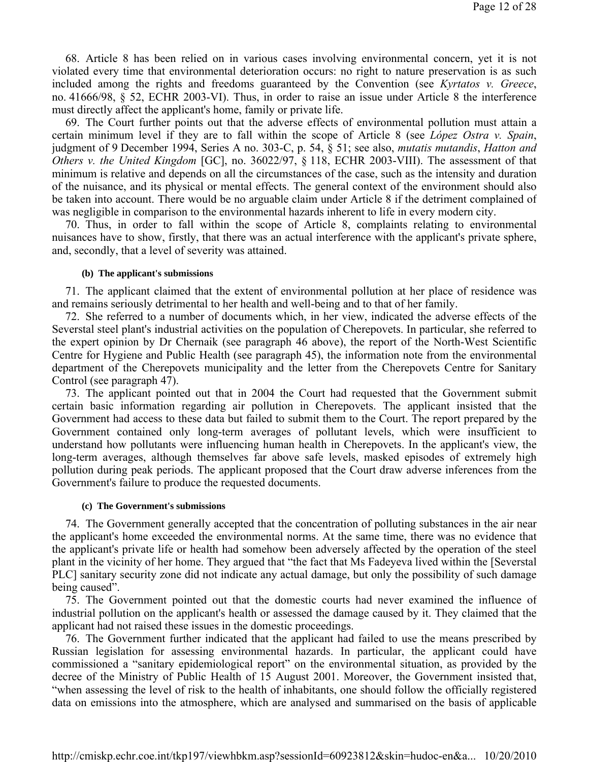68. Article 8 has been relied on in various cases involving environmental concern, yet it is not violated every time that environmental deterioration occurs: no right to nature preservation is as such included among the rights and freedoms guaranteed by the Convention (see *Kyrtatos v. Greece*, no. 41666/98, § 52, ECHR 2003-VI). Thus, in order to raise an issue under Article 8 the interference must directly affect the applicant's home, family or private life.

69. The Court further points out that the adverse effects of environmental pollution must attain a certain minimum level if they are to fall within the scope of Article 8 (see *López Ostra v. Spain*, judgment of 9 December 1994, Series A no. 303-C, p. 54, § 51; see also, *mutatis mutandis*, *Hatton and Others v. the United Kingdom* [GC], no. 36022/97, § 118, ECHR 2003-VIII). The assessment of that minimum is relative and depends on all the circumstances of the case, such as the intensity and duration of the nuisance, and its physical or mental effects. The general context of the environment should also be taken into account. There would be no arguable claim under Article 8 if the detriment complained of was negligible in comparison to the environmental hazards inherent to life in every modern city.

70. Thus, in order to fall within the scope of Article 8, complaints relating to environmental nuisances have to show, firstly, that there was an actual interference with the applicant's private sphere, and, secondly, that a level of severity was attained.

#### **(b) The applicant's submissions**

71. The applicant claimed that the extent of environmental pollution at her place of residence was and remains seriously detrimental to her health and well-being and to that of her family.

72. She referred to a number of documents which, in her view, indicated the adverse effects of the Severstal steel plant's industrial activities on the population of Cherepovets. In particular, she referred to the expert opinion by Dr Chernaik (see paragraph 46 above), the report of the North-West Scientific Centre for Hygiene and Public Health (see paragraph 45), the information note from the environmental department of the Cherepovets municipality and the letter from the Cherepovets Centre for Sanitary Control (see paragraph 47).

73. The applicant pointed out that in 2004 the Court had requested that the Government submit certain basic information regarding air pollution in Cherepovets. The applicant insisted that the Government had access to these data but failed to submit them to the Court. The report prepared by the Government contained only long-term averages of pollutant levels, which were insufficient to understand how pollutants were influencing human health in Cherepovets. In the applicant's view, the long-term averages, although themselves far above safe levels, masked episodes of extremely high pollution during peak periods. The applicant proposed that the Court draw adverse inferences from the Government's failure to produce the requested documents.

#### **(c) The Government's submissions**

74. The Government generally accepted that the concentration of polluting substances in the air near the applicant's home exceeded the environmental norms. At the same time, there was no evidence that the applicant's private life or health had somehow been adversely affected by the operation of the steel plant in the vicinity of her home. They argued that "the fact that Ms Fadeyeva lived within the [Severstal PLC] sanitary security zone did not indicate any actual damage, but only the possibility of such damage being caused".

75. The Government pointed out that the domestic courts had never examined the influence of industrial pollution on the applicant's health or assessed the damage caused by it. They claimed that the applicant had not raised these issues in the domestic proceedings.

76. The Government further indicated that the applicant had failed to use the means prescribed by Russian legislation for assessing environmental hazards. In particular, the applicant could have commissioned a "sanitary epidemiological report" on the environmental situation, as provided by the decree of the Ministry of Public Health of 15 August 2001. Moreover, the Government insisted that, "when assessing the level of risk to the health of inhabitants, one should follow the officially registered data on emissions into the atmosphere, which are analysed and summarised on the basis of applicable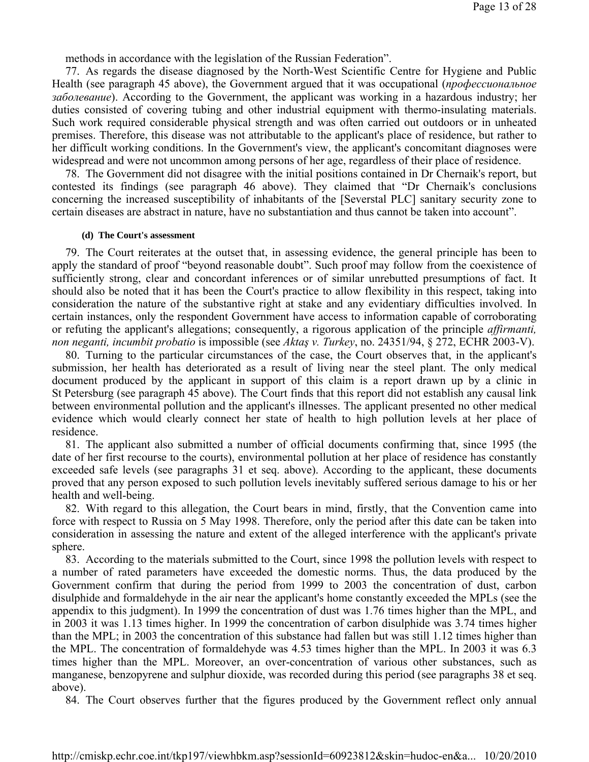methods in accordance with the legislation of the Russian Federation".

77. As regards the disease diagnosed by the North-West Scientific Centre for Hygiene and Public Health (see paragraph 45 above), the Government argued that it was occupational (*профессиональное заболевание*). According to the Government, the applicant was working in a hazardous industry; her duties consisted of covering tubing and other industrial equipment with thermo-insulating materials. Such work required considerable physical strength and was often carried out outdoors or in unheated premises. Therefore, this disease was not attributable to the applicant's place of residence, but rather to her difficult working conditions. In the Government's view, the applicant's concomitant diagnoses were widespread and were not uncommon among persons of her age, regardless of their place of residence.

78. The Government did not disagree with the initial positions contained in Dr Chernaik's report, but contested its findings (see paragraph 46 above). They claimed that "Dr Chernaik's conclusions concerning the increased susceptibility of inhabitants of the [Severstal PLC] sanitary security zone to certain diseases are abstract in nature, have no substantiation and thus cannot be taken into account".

#### **(d) The Court's assessment**

79. The Court reiterates at the outset that, in assessing evidence, the general principle has been to apply the standard of proof "beyond reasonable doubt". Such proof may follow from the coexistence of sufficiently strong, clear and concordant inferences or of similar unrebutted presumptions of fact. It should also be noted that it has been the Court's practice to allow flexibility in this respect, taking into consideration the nature of the substantive right at stake and any evidentiary difficulties involved. In certain instances, only the respondent Government have access to information capable of corroborating or refuting the applicant's allegations; consequently, a rigorous application of the principle *affirmanti, non neganti, incumbit probatio* is impossible (see *Aktaş v. Turkey*, no. 24351/94, § 272, ECHR 2003-V).

80. Turning to the particular circumstances of the case, the Court observes that, in the applicant's submission, her health has deteriorated as a result of living near the steel plant. The only medical document produced by the applicant in support of this claim is a report drawn up by a clinic in St Petersburg (see paragraph 45 above). The Court finds that this report did not establish any causal link between environmental pollution and the applicant's illnesses. The applicant presented no other medical evidence which would clearly connect her state of health to high pollution levels at her place of residence.

81. The applicant also submitted a number of official documents confirming that, since 1995 (the date of her first recourse to the courts), environmental pollution at her place of residence has constantly exceeded safe levels (see paragraphs 31 et seq. above). According to the applicant, these documents proved that any person exposed to such pollution levels inevitably suffered serious damage to his or her health and well-being.

82. With regard to this allegation, the Court bears in mind, firstly, that the Convention came into force with respect to Russia on 5 May 1998. Therefore, only the period after this date can be taken into consideration in assessing the nature and extent of the alleged interference with the applicant's private sphere.

83. According to the materials submitted to the Court, since 1998 the pollution levels with respect to a number of rated parameters have exceeded the domestic norms. Thus, the data produced by the Government confirm that during the period from 1999 to 2003 the concentration of dust, carbon disulphide and formaldehyde in the air near the applicant's home constantly exceeded the MPLs (see the appendix to this judgment). In 1999 the concentration of dust was 1.76 times higher than the MPL, and in 2003 it was 1.13 times higher. In 1999 the concentration of carbon disulphide was 3.74 times higher than the MPL; in 2003 the concentration of this substance had fallen but was still 1.12 times higher than the MPL. The concentration of formaldehyde was 4.53 times higher than the MPL. In 2003 it was 6.3 times higher than the MPL. Moreover, an over-concentration of various other substances, such as manganese, benzopyrene and sulphur dioxide, was recorded during this period (see paragraphs 38 et seq. above).

84. The Court observes further that the figures produced by the Government reflect only annual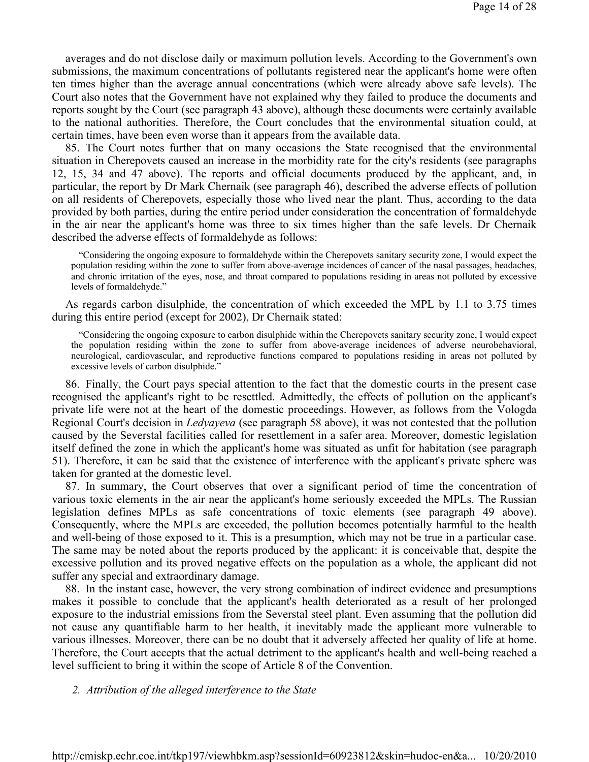averages and do not disclose daily or maximum pollution levels. According to the Government's own submissions, the maximum concentrations of pollutants registered near the applicant's home were often ten times higher than the average annual concentrations (which were already above safe levels). The Court also notes that the Government have not explained why they failed to produce the documents and reports sought by the Court (see paragraph 43 above), although these documents were certainly available to the national authorities. Therefore, the Court concludes that the environmental situation could, at certain times, have been even worse than it appears from the available data.

85. The Court notes further that on many occasions the State recognised that the environmental situation in Cherepovets caused an increase in the morbidity rate for the city's residents (see paragraphs 12, 15, 34 and 47 above). The reports and official documents produced by the applicant, and, in particular, the report by Dr Mark Chernaik (see paragraph 46), described the adverse effects of pollution on all residents of Cherepovets, especially those who lived near the plant. Thus, according to the data provided by both parties, during the entire period under consideration the concentration of formaldehyde in the air near the applicant's home was three to six times higher than the safe levels. Dr Chernaik described the adverse effects of formaldehyde as follows:

"Considering the ongoing exposure to formaldehyde within the Cherepovets sanitary security zone, I would expect the population residing within the zone to suffer from above-average incidences of cancer of the nasal passages, headaches, and chronic irritation of the eyes, nose, and throat compared to populations residing in areas not polluted by excessive levels of formaldehyde."

As regards carbon disulphide, the concentration of which exceeded the MPL by 1.1 to 3.75 times during this entire period (except for 2002), Dr Chernaik stated:

"Considering the ongoing exposure to carbon disulphide within the Cherepovets sanitary security zone, I would expect the population residing within the zone to suffer from above-average incidences of adverse neurobehavioral, neurological, cardiovascular, and reproductive functions compared to populations residing in areas not polluted by excessive levels of carbon disulphide."

86. Finally, the Court pays special attention to the fact that the domestic courts in the present case recognised the applicant's right to be resettled. Admittedly, the effects of pollution on the applicant's private life were not at the heart of the domestic proceedings. However, as follows from the Vologda Regional Court's decision in *Ledyayeva* (see paragraph 58 above), it was not contested that the pollution caused by the Severstal facilities called for resettlement in a safer area. Moreover, domestic legislation itself defined the zone in which the applicant's home was situated as unfit for habitation (see paragraph 51). Therefore, it can be said that the existence of interference with the applicant's private sphere was taken for granted at the domestic level.

87. In summary, the Court observes that over a significant period of time the concentration of various toxic elements in the air near the applicant's home seriously exceeded the MPLs. The Russian legislation defines MPLs as safe concentrations of toxic elements (see paragraph 49 above). Consequently, where the MPLs are exceeded, the pollution becomes potentially harmful to the health and well-being of those exposed to it. This is a presumption, which may not be true in a particular case. The same may be noted about the reports produced by the applicant: it is conceivable that, despite the excessive pollution and its proved negative effects on the population as a whole, the applicant did not suffer any special and extraordinary damage.

88. In the instant case, however, the very strong combination of indirect evidence and presumptions makes it possible to conclude that the applicant's health deteriorated as a result of her prolonged exposure to the industrial emissions from the Severstal steel plant. Even assuming that the pollution did not cause any quantifiable harm to her health, it inevitably made the applicant more vulnerable to various illnesses. Moreover, there can be no doubt that it adversely affected her quality of life at home. Therefore, the Court accepts that the actual detriment to the applicant's health and well-being reached a level sufficient to bring it within the scope of Article 8 of the Convention.

# *2. Attribution of the alleged interference to the State*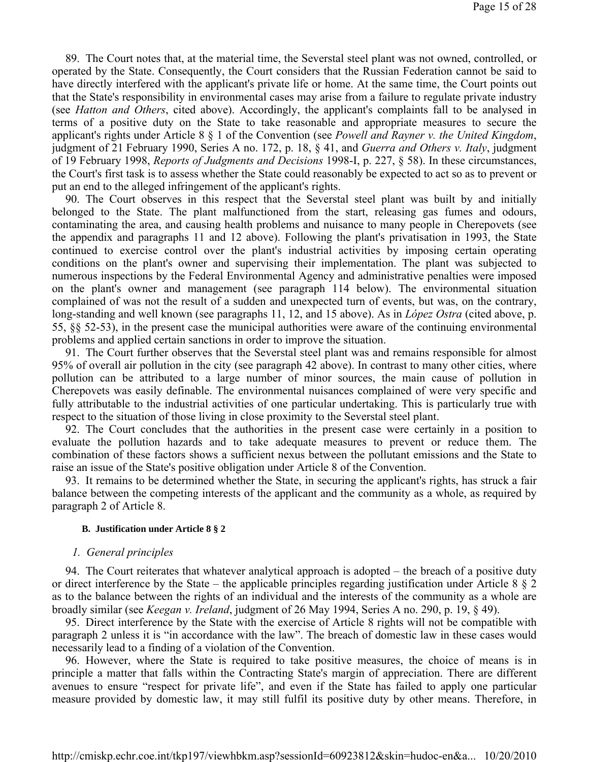89. The Court notes that, at the material time, the Severstal steel plant was not owned, controlled, or operated by the State. Consequently, the Court considers that the Russian Federation cannot be said to have directly interfered with the applicant's private life or home. At the same time, the Court points out that the State's responsibility in environmental cases may arise from a failure to regulate private industry (see *Hatton and Others*, cited above). Accordingly, the applicant's complaints fall to be analysed in terms of a positive duty on the State to take reasonable and appropriate measures to secure the applicant's rights under Article 8 § 1 of the Convention (see *Powell and Rayner v. the United Kingdom*, judgment of 21 February 1990, Series A no. 172, p. 18, § 41, and *Guerra and Others v. Italy*, judgment of 19 February 1998, *Reports of Judgments and Decisions* 1998-I, p. 227, § 58). In these circumstances, the Court's first task is to assess whether the State could reasonably be expected to act so as to prevent or put an end to the alleged infringement of the applicant's rights.

90. The Court observes in this respect that the Severstal steel plant was built by and initially belonged to the State. The plant malfunctioned from the start, releasing gas fumes and odours, contaminating the area, and causing health problems and nuisance to many people in Cherepovets (see the appendix and paragraphs 11 and 12 above). Following the plant's privatisation in 1993, the State continued to exercise control over the plant's industrial activities by imposing certain operating conditions on the plant's owner and supervising their implementation. The plant was subjected to numerous inspections by the Federal Environmental Agency and administrative penalties were imposed on the plant's owner and management (see paragraph 114 below). The environmental situation complained of was not the result of a sudden and unexpected turn of events, but was, on the contrary, long-standing and well known (see paragraphs 11, 12, and 15 above). As in *López Ostra* (cited above, p. 55, §§ 52-53), in the present case the municipal authorities were aware of the continuing environmental problems and applied certain sanctions in order to improve the situation.

91. The Court further observes that the Severstal steel plant was and remains responsible for almost 95% of overall air pollution in the city (see paragraph 42 above). In contrast to many other cities, where pollution can be attributed to a large number of minor sources, the main cause of pollution in Cherepovets was easily definable. The environmental nuisances complained of were very specific and fully attributable to the industrial activities of one particular undertaking. This is particularly true with respect to the situation of those living in close proximity to the Severstal steel plant.

92. The Court concludes that the authorities in the present case were certainly in a position to evaluate the pollution hazards and to take adequate measures to prevent or reduce them. The combination of these factors shows a sufficient nexus between the pollutant emissions and the State to raise an issue of the State's positive obligation under Article 8 of the Convention.

93. It remains to be determined whether the State, in securing the applicant's rights, has struck a fair balance between the competing interests of the applicant and the community as a whole, as required by paragraph 2 of Article 8.

#### **B. Justification under Article 8 § 2**

#### *1. General principles*

94. The Court reiterates that whatever analytical approach is adopted – the breach of a positive duty or direct interference by the State – the applicable principles regarding justification under Article 8  $\S$  2 as to the balance between the rights of an individual and the interests of the community as a whole are broadly similar (see *Keegan v. Ireland*, judgment of 26 May 1994, Series A no. 290, p. 19, § 49).

95. Direct interference by the State with the exercise of Article 8 rights will not be compatible with paragraph 2 unless it is "in accordance with the law". The breach of domestic law in these cases would necessarily lead to a finding of a violation of the Convention.

96. However, where the State is required to take positive measures, the choice of means is in principle a matter that falls within the Contracting State's margin of appreciation. There are different avenues to ensure "respect for private life", and even if the State has failed to apply one particular measure provided by domestic law, it may still fulfil its positive duty by other means. Therefore, in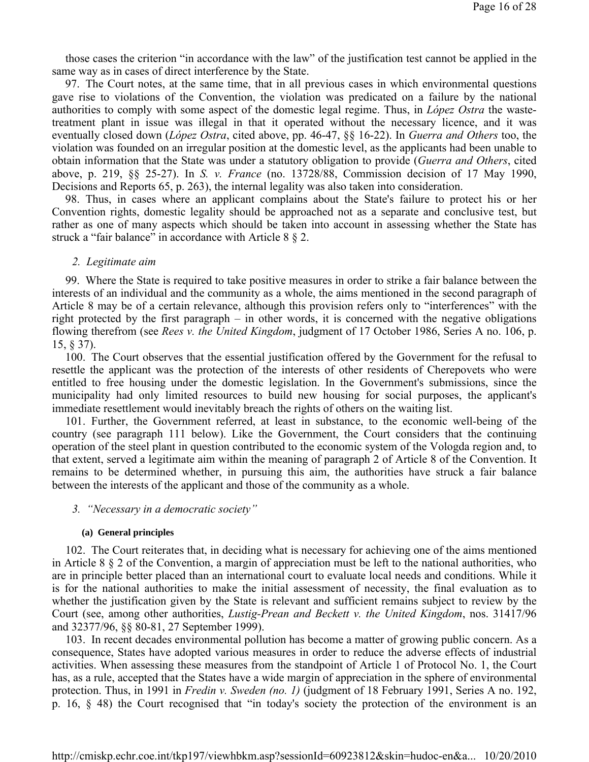those cases the criterion "in accordance with the law" of the justification test cannot be applied in the same way as in cases of direct interference by the State.

97. The Court notes, at the same time, that in all previous cases in which environmental questions gave rise to violations of the Convention, the violation was predicated on a failure by the national authorities to comply with some aspect of the domestic legal regime. Thus, in *López Ostra* the wastetreatment plant in issue was illegal in that it operated without the necessary licence, and it was eventually closed down (*López Ostra*, cited above, pp. 46-47, §§ 16-22). In *Guerra and Others* too, the violation was founded on an irregular position at the domestic level, as the applicants had been unable to obtain information that the State was under a statutory obligation to provide (*Guerra and Others*, cited above, p. 219, §§ 25-27). In *S. v. France* (no. 13728/88, Commission decision of 17 May 1990, Decisions and Reports 65, p. 263), the internal legality was also taken into consideration.

98. Thus, in cases where an applicant complains about the State's failure to protect his or her Convention rights, domestic legality should be approached not as a separate and conclusive test, but rather as one of many aspects which should be taken into account in assessing whether the State has struck a "fair balance" in accordance with Article 8  $\S$  2.

#### *2. Legitimate aim*

99. Where the State is required to take positive measures in order to strike a fair balance between the interests of an individual and the community as a whole, the aims mentioned in the second paragraph of Article 8 may be of a certain relevance, although this provision refers only to "interferences" with the right protected by the first paragraph – in other words, it is concerned with the negative obligations flowing therefrom (see *Rees v. the United Kingdom*, judgment of 17 October 1986, Series A no. 106, p. 15, § 37).

100. The Court observes that the essential justification offered by the Government for the refusal to resettle the applicant was the protection of the interests of other residents of Cherepovets who were entitled to free housing under the domestic legislation. In the Government's submissions, since the municipality had only limited resources to build new housing for social purposes, the applicant's immediate resettlement would inevitably breach the rights of others on the waiting list.

101. Further, the Government referred, at least in substance, to the economic well-being of the country (see paragraph 111 below). Like the Government, the Court considers that the continuing operation of the steel plant in question contributed to the economic system of the Vologda region and, to that extent, served a legitimate aim within the meaning of paragraph 2 of Article 8 of the Convention. It remains to be determined whether, in pursuing this aim, the authorities have struck a fair balance between the interests of the applicant and those of the community as a whole.

#### *3. "Necessary in a democratic society"*

#### **(a) General principles**

102. The Court reiterates that, in deciding what is necessary for achieving one of the aims mentioned in Article 8  $\S$  2 of the Convention, a margin of appreciation must be left to the national authorities, who are in principle better placed than an international court to evaluate local needs and conditions. While it is for the national authorities to make the initial assessment of necessity, the final evaluation as to whether the justification given by the State is relevant and sufficient remains subject to review by the Court (see, among other authorities, *Lustig-Prean and Beckett v. the United Kingdom*, nos. 31417/96 and 32377/96, §§ 80-81, 27 September 1999).

103. In recent decades environmental pollution has become a matter of growing public concern. As a consequence, States have adopted various measures in order to reduce the adverse effects of industrial activities. When assessing these measures from the standpoint of Article 1 of Protocol No. 1, the Court has, as a rule, accepted that the States have a wide margin of appreciation in the sphere of environmental protection. Thus, in 1991 in *Fredin v. Sweden (no. 1)* (judgment of 18 February 1991, Series A no. 192, p. 16, § 48) the Court recognised that "in today's society the protection of the environment is an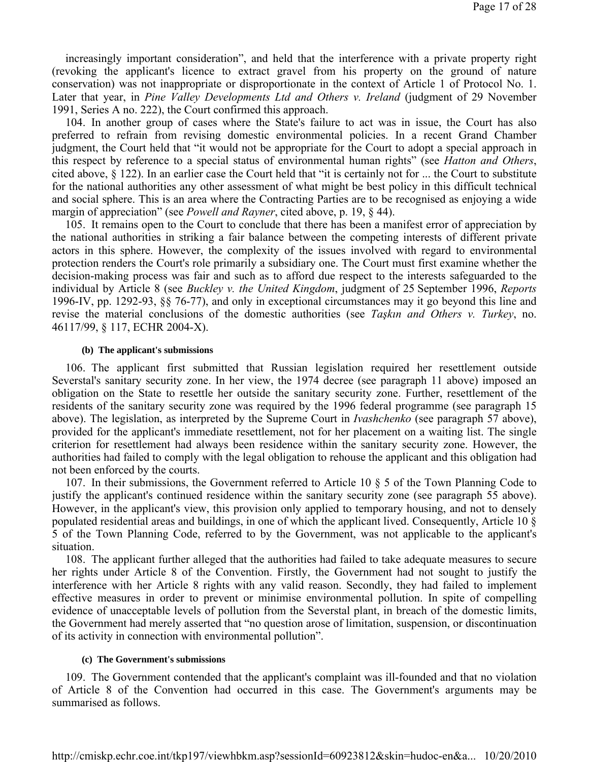increasingly important consideration", and held that the interference with a private property right (revoking the applicant's licence to extract gravel from his property on the ground of nature conservation) was not inappropriate or disproportionate in the context of Article 1 of Protocol No. 1. Later that year, in *Pine Valley Developments Ltd and Others v. Ireland* (judgment of 29 November 1991, Series A no. 222), the Court confirmed this approach.

104. In another group of cases where the State's failure to act was in issue, the Court has also preferred to refrain from revising domestic environmental policies. In a recent Grand Chamber judgment, the Court held that "it would not be appropriate for the Court to adopt a special approach in this respect by reference to a special status of environmental human rights" (see *Hatton and Others*, cited above, § 122). In an earlier case the Court held that "it is certainly not for ... the Court to substitute for the national authorities any other assessment of what might be best policy in this difficult technical and social sphere. This is an area where the Contracting Parties are to be recognised as enjoying a wide margin of appreciation" (see *Powell and Rayner*, cited above, p. 19, § 44).

105. It remains open to the Court to conclude that there has been a manifest error of appreciation by the national authorities in striking a fair balance between the competing interests of different private actors in this sphere. However, the complexity of the issues involved with regard to environmental protection renders the Court's role primarily a subsidiary one. The Court must first examine whether the decision-making process was fair and such as to afford due respect to the interests safeguarded to the individual by Article 8 (see *Buckley v. the United Kingdom*, judgment of 25 September 1996, *Reports*  1996-IV, pp. 1292-93, §§ 76-77), and only in exceptional circumstances may it go beyond this line and revise the material conclusions of the domestic authorities (see *Taşkın and Others v. Turkey*, no. 46117/99, § 117, ECHR 2004-X).

#### **(b) The applicant's submissions**

106. The applicant first submitted that Russian legislation required her resettlement outside Severstal's sanitary security zone. In her view, the 1974 decree (see paragraph 11 above) imposed an obligation on the State to resettle her outside the sanitary security zone. Further, resettlement of the residents of the sanitary security zone was required by the 1996 federal programme (see paragraph 15 above). The legislation, as interpreted by the Supreme Court in *Ivashchenko* (see paragraph 57 above), provided for the applicant's immediate resettlement, not for her placement on a waiting list. The single criterion for resettlement had always been residence within the sanitary security zone. However, the authorities had failed to comply with the legal obligation to rehouse the applicant and this obligation had not been enforced by the courts.

107. In their submissions, the Government referred to Article 10 § 5 of the Town Planning Code to justify the applicant's continued residence within the sanitary security zone (see paragraph 55 above). However, in the applicant's view, this provision only applied to temporary housing, and not to densely populated residential areas and buildings, in one of which the applicant lived. Consequently, Article 10 § 5 of the Town Planning Code, referred to by the Government, was not applicable to the applicant's situation.

108. The applicant further alleged that the authorities had failed to take adequate measures to secure her rights under Article 8 of the Convention. Firstly, the Government had not sought to justify the interference with her Article 8 rights with any valid reason. Secondly, they had failed to implement effective measures in order to prevent or minimise environmental pollution. In spite of compelling evidence of unacceptable levels of pollution from the Severstal plant, in breach of the domestic limits, the Government had merely asserted that "no question arose of limitation, suspension, or discontinuation of its activity in connection with environmental pollution".

#### **(c) The Government's submissions**

109. The Government contended that the applicant's complaint was ill-founded and that no violation of Article 8 of the Convention had occurred in this case. The Government's arguments may be summarised as follows.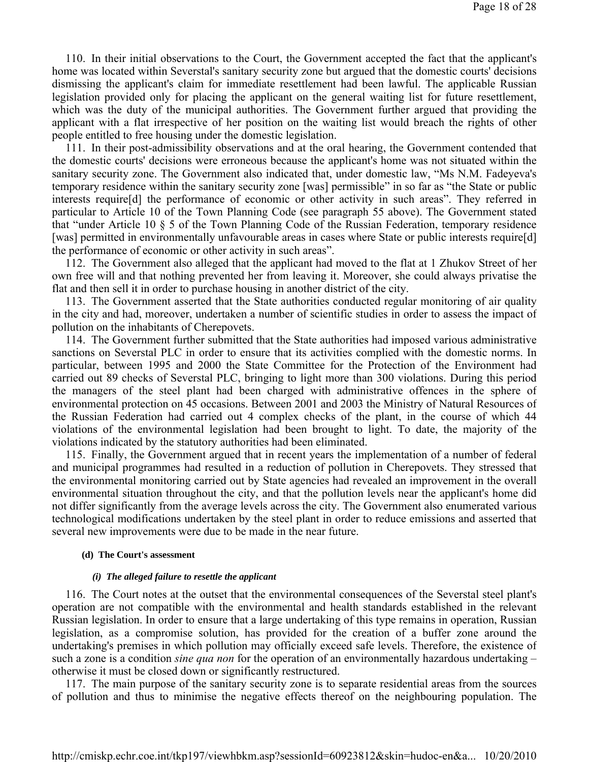110. In their initial observations to the Court, the Government accepted the fact that the applicant's home was located within Severstal's sanitary security zone but argued that the domestic courts' decisions dismissing the applicant's claim for immediate resettlement had been lawful. The applicable Russian legislation provided only for placing the applicant on the general waiting list for future resettlement, which was the duty of the municipal authorities. The Government further argued that providing the applicant with a flat irrespective of her position on the waiting list would breach the rights of other people entitled to free housing under the domestic legislation.

111. In their post-admissibility observations and at the oral hearing, the Government contended that the domestic courts' decisions were erroneous because the applicant's home was not situated within the sanitary security zone. The Government also indicated that, under domestic law, "Ms N.M. Fadeyeva's temporary residence within the sanitary security zone [was] permissible" in so far as "the State or public interests require[d] the performance of economic or other activity in such areas". They referred in particular to Article 10 of the Town Planning Code (see paragraph 55 above). The Government stated that "under Article 10 § 5 of the Town Planning Code of the Russian Federation, temporary residence [was] permitted in environmentally unfavourable areas in cases where State or public interests require[d] the performance of economic or other activity in such areas".

112. The Government also alleged that the applicant had moved to the flat at 1 Zhukov Street of her own free will and that nothing prevented her from leaving it. Moreover, she could always privatise the flat and then sell it in order to purchase housing in another district of the city.

113. The Government asserted that the State authorities conducted regular monitoring of air quality in the city and had, moreover, undertaken a number of scientific studies in order to assess the impact of pollution on the inhabitants of Cherepovets.

114. The Government further submitted that the State authorities had imposed various administrative sanctions on Severstal PLC in order to ensure that its activities complied with the domestic norms. In particular, between 1995 and 2000 the State Committee for the Protection of the Environment had carried out 89 checks of Severstal PLC, bringing to light more than 300 violations. During this period the managers of the steel plant had been charged with administrative offences in the sphere of environmental protection on 45 occasions. Between 2001 and 2003 the Ministry of Natural Resources of the Russian Federation had carried out 4 complex checks of the plant, in the course of which 44 violations of the environmental legislation had been brought to light. To date, the majority of the violations indicated by the statutory authorities had been eliminated.

115. Finally, the Government argued that in recent years the implementation of a number of federal and municipal programmes had resulted in a reduction of pollution in Cherepovets. They stressed that the environmental monitoring carried out by State agencies had revealed an improvement in the overall environmental situation throughout the city, and that the pollution levels near the applicant's home did not differ significantly from the average levels across the city. The Government also enumerated various technological modifications undertaken by the steel plant in order to reduce emissions and asserted that several new improvements were due to be made in the near future.

#### **(d) The Court's assessment**

#### *(i) The alleged failure to resettle the applicant*

116. The Court notes at the outset that the environmental consequences of the Severstal steel plant's operation are not compatible with the environmental and health standards established in the relevant Russian legislation. In order to ensure that a large undertaking of this type remains in operation, Russian legislation, as a compromise solution, has provided for the creation of a buffer zone around the undertaking's premises in which pollution may officially exceed safe levels. Therefore, the existence of such a zone is a condition *sine qua non* for the operation of an environmentally hazardous undertaking – otherwise it must be closed down or significantly restructured.

117. The main purpose of the sanitary security zone is to separate residential areas from the sources of pollution and thus to minimise the negative effects thereof on the neighbouring population. The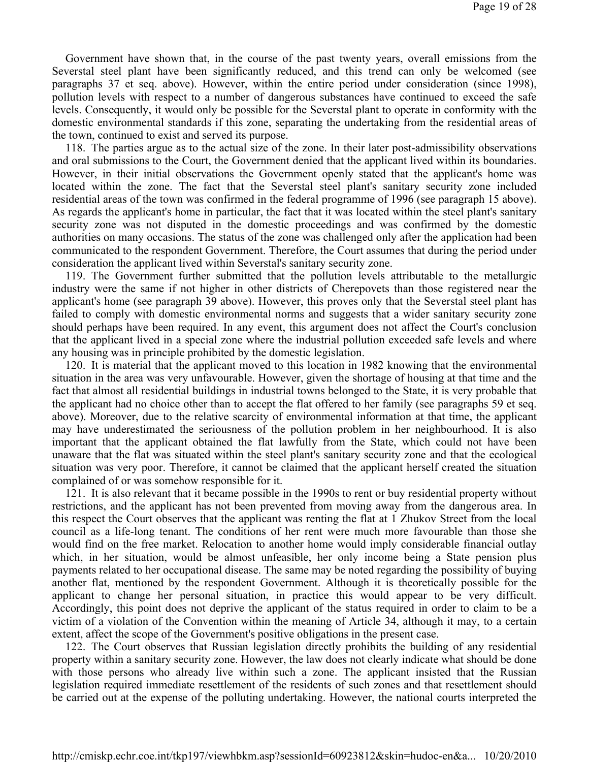Government have shown that, in the course of the past twenty years, overall emissions from the Severstal steel plant have been significantly reduced, and this trend can only be welcomed (see paragraphs 37 et seq. above). However, within the entire period under consideration (since 1998), pollution levels with respect to a number of dangerous substances have continued to exceed the safe levels. Consequently, it would only be possible for the Severstal plant to operate in conformity with the domestic environmental standards if this zone, separating the undertaking from the residential areas of the town, continued to exist and served its purpose.

118. The parties argue as to the actual size of the zone. In their later post-admissibility observations and oral submissions to the Court, the Government denied that the applicant lived within its boundaries. However, in their initial observations the Government openly stated that the applicant's home was located within the zone. The fact that the Severstal steel plant's sanitary security zone included residential areas of the town was confirmed in the federal programme of 1996 (see paragraph 15 above). As regards the applicant's home in particular, the fact that it was located within the steel plant's sanitary security zone was not disputed in the domestic proceedings and was confirmed by the domestic authorities on many occasions. The status of the zone was challenged only after the application had been communicated to the respondent Government. Therefore, the Court assumes that during the period under consideration the applicant lived within Severstal's sanitary security zone.

119. The Government further submitted that the pollution levels attributable to the metallurgic industry were the same if not higher in other districts of Cherepovets than those registered near the applicant's home (see paragraph 39 above). However, this proves only that the Severstal steel plant has failed to comply with domestic environmental norms and suggests that a wider sanitary security zone should perhaps have been required. In any event, this argument does not affect the Court's conclusion that the applicant lived in a special zone where the industrial pollution exceeded safe levels and where any housing was in principle prohibited by the domestic legislation.

120. It is material that the applicant moved to this location in 1982 knowing that the environmental situation in the area was very unfavourable. However, given the shortage of housing at that time and the fact that almost all residential buildings in industrial towns belonged to the State, it is very probable that the applicant had no choice other than to accept the flat offered to her family (see paragraphs 59 et seq. above). Moreover, due to the relative scarcity of environmental information at that time, the applicant may have underestimated the seriousness of the pollution problem in her neighbourhood. It is also important that the applicant obtained the flat lawfully from the State, which could not have been unaware that the flat was situated within the steel plant's sanitary security zone and that the ecological situation was very poor. Therefore, it cannot be claimed that the applicant herself created the situation complained of or was somehow responsible for it.

121. It is also relevant that it became possible in the 1990s to rent or buy residential property without restrictions, and the applicant has not been prevented from moving away from the dangerous area. In this respect the Court observes that the applicant was renting the flat at 1 Zhukov Street from the local council as a life-long tenant. The conditions of her rent were much more favourable than those she would find on the free market. Relocation to another home would imply considerable financial outlay which, in her situation, would be almost unfeasible, her only income being a State pension plus payments related to her occupational disease. The same may be noted regarding the possibility of buying another flat, mentioned by the respondent Government. Although it is theoretically possible for the applicant to change her personal situation, in practice this would appear to be very difficult. Accordingly, this point does not deprive the applicant of the status required in order to claim to be a victim of a violation of the Convention within the meaning of Article 34, although it may, to a certain extent, affect the scope of the Government's positive obligations in the present case.

122. The Court observes that Russian legislation directly prohibits the building of any residential property within a sanitary security zone. However, the law does not clearly indicate what should be done with those persons who already live within such a zone. The applicant insisted that the Russian legislation required immediate resettlement of the residents of such zones and that resettlement should be carried out at the expense of the polluting undertaking. However, the national courts interpreted the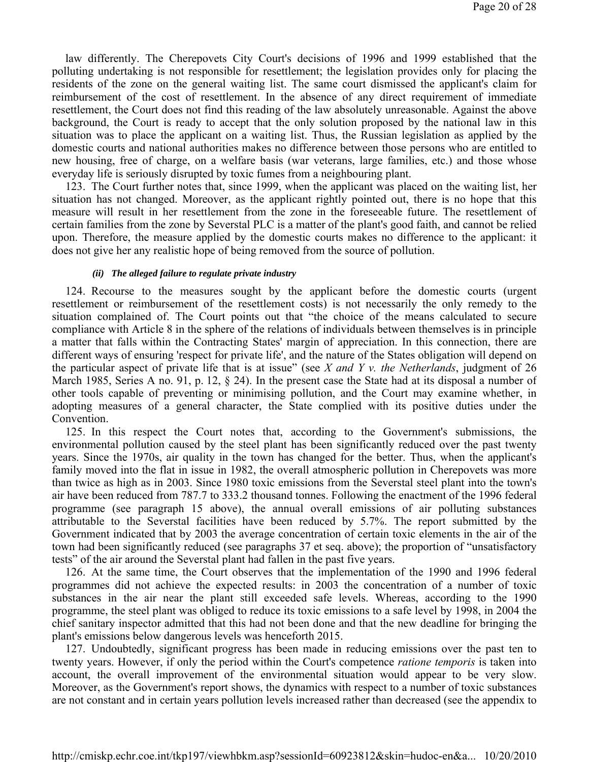law differently. The Cherepovets City Court's decisions of 1996 and 1999 established that the polluting undertaking is not responsible for resettlement; the legislation provides only for placing the residents of the zone on the general waiting list. The same court dismissed the applicant's claim for reimbursement of the cost of resettlement. In the absence of any direct requirement of immediate resettlement, the Court does not find this reading of the law absolutely unreasonable. Against the above background, the Court is ready to accept that the only solution proposed by the national law in this situation was to place the applicant on a waiting list. Thus, the Russian legislation as applied by the domestic courts and national authorities makes no difference between those persons who are entitled to new housing, free of charge, on a welfare basis (war veterans, large families, etc.) and those whose everyday life is seriously disrupted by toxic fumes from a neighbouring plant.

123. The Court further notes that, since 1999, when the applicant was placed on the waiting list, her situation has not changed. Moreover, as the applicant rightly pointed out, there is no hope that this measure will result in her resettlement from the zone in the foreseeable future. The resettlement of certain families from the zone by Severstal PLC is a matter of the plant's good faith, and cannot be relied upon. Therefore, the measure applied by the domestic courts makes no difference to the applicant: it does not give her any realistic hope of being removed from the source of pollution.

## *(ii) The alleged failure to regulate private industry*

124. Recourse to the measures sought by the applicant before the domestic courts (urgent resettlement or reimbursement of the resettlement costs) is not necessarily the only remedy to the situation complained of. The Court points out that "the choice of the means calculated to secure compliance with Article 8 in the sphere of the relations of individuals between themselves is in principle a matter that falls within the Contracting States' margin of appreciation. In this connection, there are different ways of ensuring 'respect for private life', and the nature of the States obligation will depend on the particular aspect of private life that is at issue" (see *X and Y v. the Netherlands*, judgment of 26 March 1985, Series A no. 91, p. 12, § 24). In the present case the State had at its disposal a number of other tools capable of preventing or minimising pollution, and the Court may examine whether, in adopting measures of a general character, the State complied with its positive duties under the Convention.

125. In this respect the Court notes that, according to the Government's submissions, the environmental pollution caused by the steel plant has been significantly reduced over the past twenty years. Since the 1970s, air quality in the town has changed for the better. Thus, when the applicant's family moved into the flat in issue in 1982, the overall atmospheric pollution in Cherepovets was more than twice as high as in 2003. Since 1980 toxic emissions from the Severstal steel plant into the town's air have been reduced from 787.7 to 333.2 thousand tonnes. Following the enactment of the 1996 federal programme (see paragraph 15 above), the annual overall emissions of air polluting substances attributable to the Severstal facilities have been reduced by 5.7%. The report submitted by the Government indicated that by 2003 the average concentration of certain toxic elements in the air of the town had been significantly reduced (see paragraphs 37 et seq. above); the proportion of "unsatisfactory tests" of the air around the Severstal plant had fallen in the past five years.

126. At the same time, the Court observes that the implementation of the 1990 and 1996 federal programmes did not achieve the expected results: in 2003 the concentration of a number of toxic substances in the air near the plant still exceeded safe levels. Whereas, according to the 1990 programme, the steel plant was obliged to reduce its toxic emissions to a safe level by 1998, in 2004 the chief sanitary inspector admitted that this had not been done and that the new deadline for bringing the plant's emissions below dangerous levels was henceforth 2015.

127. Undoubtedly, significant progress has been made in reducing emissions over the past ten to twenty years. However, if only the period within the Court's competence *ratione temporis* is taken into account, the overall improvement of the environmental situation would appear to be very slow. Moreover, as the Government's report shows, the dynamics with respect to a number of toxic substances are not constant and in certain years pollution levels increased rather than decreased (see the appendix to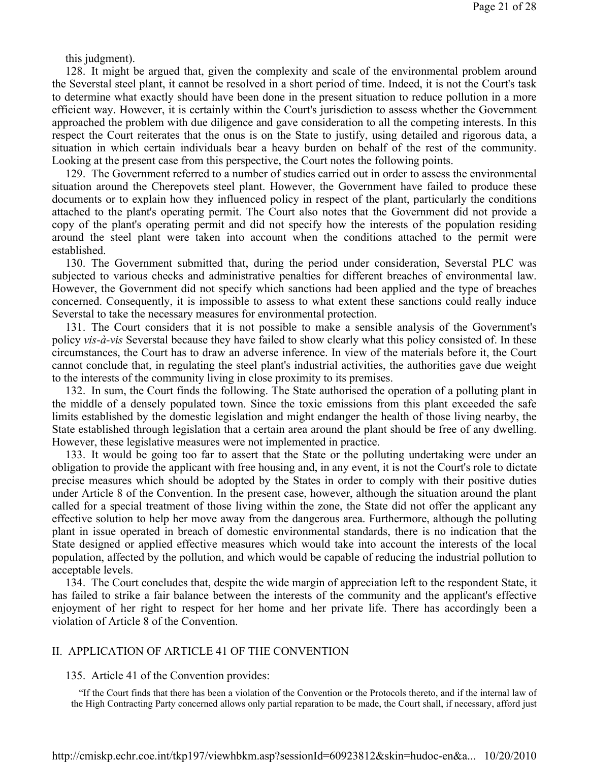this judgment).

128. It might be argued that, given the complexity and scale of the environmental problem around the Severstal steel plant, it cannot be resolved in a short period of time. Indeed, it is not the Court's task to determine what exactly should have been done in the present situation to reduce pollution in a more efficient way. However, it is certainly within the Court's jurisdiction to assess whether the Government approached the problem with due diligence and gave consideration to all the competing interests. In this respect the Court reiterates that the onus is on the State to justify, using detailed and rigorous data, a situation in which certain individuals bear a heavy burden on behalf of the rest of the community. Looking at the present case from this perspective, the Court notes the following points.

129. The Government referred to a number of studies carried out in order to assess the environmental situation around the Cherepovets steel plant. However, the Government have failed to produce these documents or to explain how they influenced policy in respect of the plant, particularly the conditions attached to the plant's operating permit. The Court also notes that the Government did not provide a copy of the plant's operating permit and did not specify how the interests of the population residing around the steel plant were taken into account when the conditions attached to the permit were established.

130. The Government submitted that, during the period under consideration, Severstal PLC was subjected to various checks and administrative penalties for different breaches of environmental law. However, the Government did not specify which sanctions had been applied and the type of breaches concerned. Consequently, it is impossible to assess to what extent these sanctions could really induce Severstal to take the necessary measures for environmental protection.

131. The Court considers that it is not possible to make a sensible analysis of the Government's policy *vis-à-vis* Severstal because they have failed to show clearly what this policy consisted of. In these circumstances, the Court has to draw an adverse inference. In view of the materials before it, the Court cannot conclude that, in regulating the steel plant's industrial activities, the authorities gave due weight to the interests of the community living in close proximity to its premises.

132. In sum, the Court finds the following. The State authorised the operation of a polluting plant in the middle of a densely populated town. Since the toxic emissions from this plant exceeded the safe limits established by the domestic legislation and might endanger the health of those living nearby, the State established through legislation that a certain area around the plant should be free of any dwelling. However, these legislative measures were not implemented in practice.

133. It would be going too far to assert that the State or the polluting undertaking were under an obligation to provide the applicant with free housing and, in any event, it is not the Court's role to dictate precise measures which should be adopted by the States in order to comply with their positive duties under Article 8 of the Convention. In the present case, however, although the situation around the plant called for a special treatment of those living within the zone, the State did not offer the applicant any effective solution to help her move away from the dangerous area. Furthermore, although the polluting plant in issue operated in breach of domestic environmental standards, there is no indication that the State designed or applied effective measures which would take into account the interests of the local population, affected by the pollution, and which would be capable of reducing the industrial pollution to acceptable levels.

134. The Court concludes that, despite the wide margin of appreciation left to the respondent State, it has failed to strike a fair balance between the interests of the community and the applicant's effective enjoyment of her right to respect for her home and her private life. There has accordingly been a violation of Article 8 of the Convention.

## II. APPLICATION OF ARTICLE 41 OF THE CONVENTION

#### 135. Article 41 of the Convention provides:

"If the Court finds that there has been a violation of the Convention or the Protocols thereto, and if the internal law of the High Contracting Party concerned allows only partial reparation to be made, the Court shall, if necessary, afford just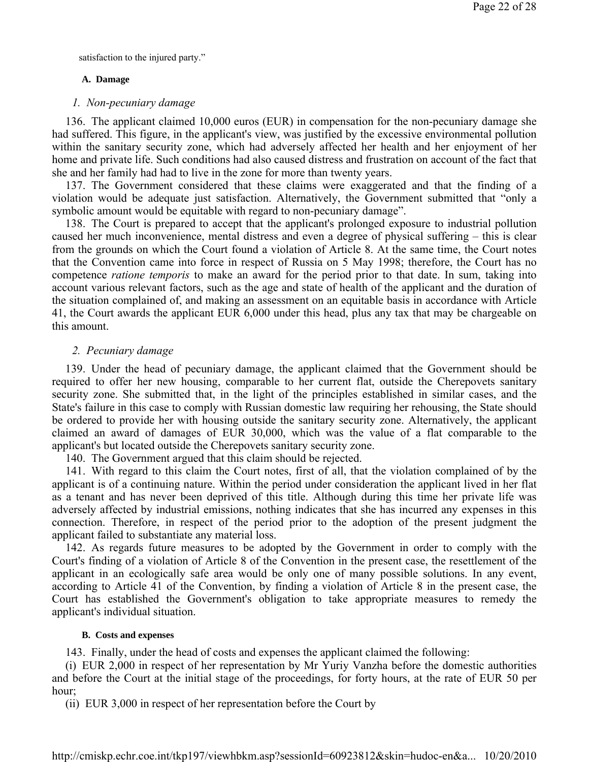satisfaction to the injured party."

#### **A. Damage**

## *1. Non-pecuniary damage*

136. The applicant claimed 10,000 euros (EUR) in compensation for the non-pecuniary damage she had suffered. This figure, in the applicant's view, was justified by the excessive environmental pollution within the sanitary security zone, which had adversely affected her health and her enjoyment of her home and private life. Such conditions had also caused distress and frustration on account of the fact that she and her family had had to live in the zone for more than twenty years.

137. The Government considered that these claims were exaggerated and that the finding of a violation would be adequate just satisfaction. Alternatively, the Government submitted that "only a symbolic amount would be equitable with regard to non-pecuniary damage".

138. The Court is prepared to accept that the applicant's prolonged exposure to industrial pollution caused her much inconvenience, mental distress and even a degree of physical suffering – this is clear from the grounds on which the Court found a violation of Article 8. At the same time, the Court notes that the Convention came into force in respect of Russia on 5 May 1998; therefore, the Court has no competence *ratione temporis* to make an award for the period prior to that date. In sum, taking into account various relevant factors, such as the age and state of health of the applicant and the duration of the situation complained of, and making an assessment on an equitable basis in accordance with Article 41, the Court awards the applicant EUR 6,000 under this head, plus any tax that may be chargeable on this amount.

## *2. Pecuniary damage*

139. Under the head of pecuniary damage, the applicant claimed that the Government should be required to offer her new housing, comparable to her current flat, outside the Cherepovets sanitary security zone. She submitted that, in the light of the principles established in similar cases, and the State's failure in this case to comply with Russian domestic law requiring her rehousing, the State should be ordered to provide her with housing outside the sanitary security zone. Alternatively, the applicant claimed an award of damages of EUR 30,000, which was the value of a flat comparable to the applicant's but located outside the Cherepovets sanitary security zone.

140. The Government argued that this claim should be rejected.

141. With regard to this claim the Court notes, first of all, that the violation complained of by the applicant is of a continuing nature. Within the period under consideration the applicant lived in her flat as a tenant and has never been deprived of this title. Although during this time her private life was adversely affected by industrial emissions, nothing indicates that she has incurred any expenses in this connection. Therefore, in respect of the period prior to the adoption of the present judgment the applicant failed to substantiate any material loss.

142. As regards future measures to be adopted by the Government in order to comply with the Court's finding of a violation of Article 8 of the Convention in the present case, the resettlement of the applicant in an ecologically safe area would be only one of many possible solutions. In any event, according to Article 41 of the Convention, by finding a violation of Article 8 in the present case, the Court has established the Government's obligation to take appropriate measures to remedy the applicant's individual situation.

## **B. Costs and expenses**

143. Finally, under the head of costs and expenses the applicant claimed the following:

(i) EUR 2,000 in respect of her representation by Mr Yuriy Vanzha before the domestic authorities and before the Court at the initial stage of the proceedings, for forty hours, at the rate of EUR 50 per hour;

(ii) EUR 3,000 in respect of her representation before the Court by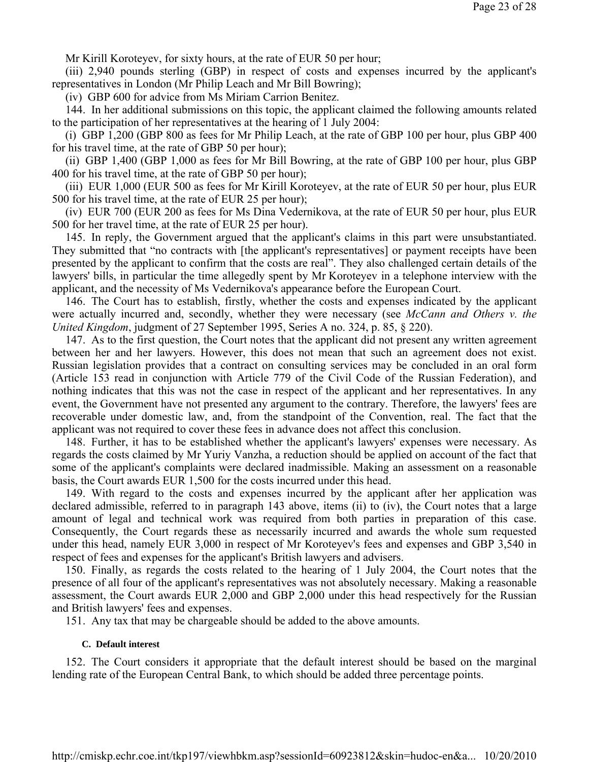Mr Kirill Koroteyev, for sixty hours, at the rate of EUR 50 per hour;

(iii) 2,940 pounds sterling (GBP) in respect of costs and expenses incurred by the applicant's representatives in London (Mr Philip Leach and Mr Bill Bowring);

(iv) GBP 600 for advice from Ms Miriam Carrion Benitez.

144. In her additional submissions on this topic, the applicant claimed the following amounts related to the participation of her representatives at the hearing of 1 July 2004:

(i) GBP 1,200 (GBP 800 as fees for Mr Philip Leach, at the rate of GBP 100 per hour, plus GBP 400 for his travel time, at the rate of GBP 50 per hour);

(ii) GBP 1,400 (GBP 1,000 as fees for Mr Bill Bowring, at the rate of GBP 100 per hour, plus GBP 400 for his travel time, at the rate of GBP 50 per hour);

(iii) EUR 1,000 (EUR 500 as fees for Mr Kirill Koroteyev, at the rate of EUR 50 per hour, plus EUR 500 for his travel time, at the rate of EUR 25 per hour);

(iv) EUR 700 (EUR 200 as fees for Ms Dina Vedernikova, at the rate of EUR 50 per hour, plus EUR 500 for her travel time, at the rate of EUR 25 per hour).

145. In reply, the Government argued that the applicant's claims in this part were unsubstantiated. They submitted that "no contracts with [the applicant's representatives] or payment receipts have been presented by the applicant to confirm that the costs are real". They also challenged certain details of the lawyers' bills, in particular the time allegedly spent by Mr Koroteyev in a telephone interview with the applicant, and the necessity of Ms Vedernikova's appearance before the European Court.

146. The Court has to establish, firstly, whether the costs and expenses indicated by the applicant were actually incurred and, secondly, whether they were necessary (see *McCann and Others v. the United Kingdom*, judgment of 27 September 1995, Series A no. 324, p. 85, § 220).

147. As to the first question, the Court notes that the applicant did not present any written agreement between her and her lawyers. However, this does not mean that such an agreement does not exist. Russian legislation provides that a contract on consulting services may be concluded in an oral form (Article 153 read in conjunction with Article 779 of the Civil Code of the Russian Federation), and nothing indicates that this was not the case in respect of the applicant and her representatives. In any event, the Government have not presented any argument to the contrary. Therefore, the lawyers' fees are recoverable under domestic law, and, from the standpoint of the Convention, real. The fact that the applicant was not required to cover these fees in advance does not affect this conclusion.

148. Further, it has to be established whether the applicant's lawyers' expenses were necessary. As regards the costs claimed by Mr Yuriy Vanzha, a reduction should be applied on account of the fact that some of the applicant's complaints were declared inadmissible. Making an assessment on a reasonable basis, the Court awards EUR 1,500 for the costs incurred under this head.

149. With regard to the costs and expenses incurred by the applicant after her application was declared admissible, referred to in paragraph 143 above, items (ii) to (iv), the Court notes that a large amount of legal and technical work was required from both parties in preparation of this case. Consequently, the Court regards these as necessarily incurred and awards the whole sum requested under this head, namely EUR 3,000 in respect of Mr Koroteyev's fees and expenses and GBP 3,540 in respect of fees and expenses for the applicant's British lawyers and advisers.

150. Finally, as regards the costs related to the hearing of 1 July 2004, the Court notes that the presence of all four of the applicant's representatives was not absolutely necessary. Making a reasonable assessment, the Court awards EUR 2,000 and GBP 2,000 under this head respectively for the Russian and British lawyers' fees and expenses.

151. Any tax that may be chargeable should be added to the above amounts.

#### **C. Default interest**

152. The Court considers it appropriate that the default interest should be based on the marginal lending rate of the European Central Bank, to which should be added three percentage points.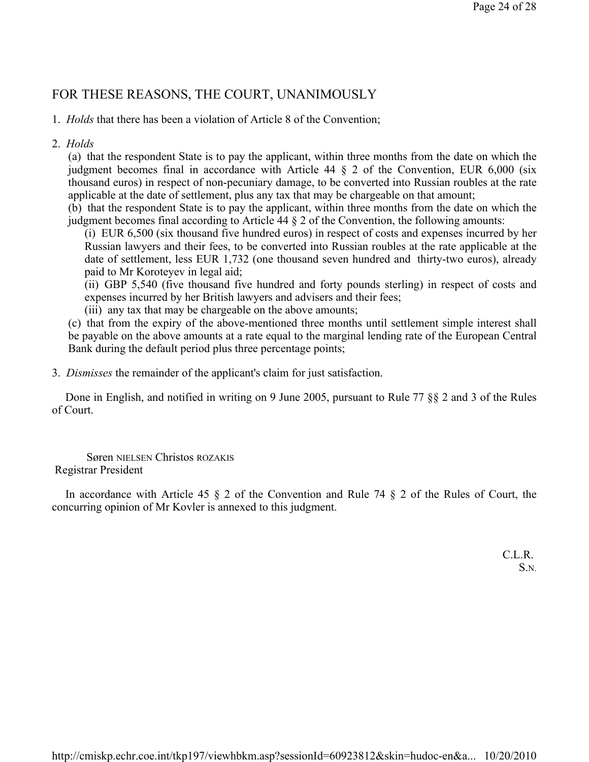# FOR THESE REASONS, THE COURT, UNANIMOUSLY

- 1. *Holds* that there has been a violation of Article 8 of the Convention;
- 2. *Holds*

(a) that the respondent State is to pay the applicant, within three months from the date on which the judgment becomes final in accordance with Article 44 § 2 of the Convention, EUR 6,000 (six thousand euros) in respect of non-pecuniary damage, to be converted into Russian roubles at the rate applicable at the date of settlement, plus any tax that may be chargeable on that amount;

(b) that the respondent State is to pay the applicant, within three months from the date on which the judgment becomes final according to Article 44 § 2 of the Convention, the following amounts:

(i) EUR 6,500 (six thousand five hundred euros) in respect of costs and expenses incurred by her Russian lawyers and their fees, to be converted into Russian roubles at the rate applicable at the date of settlement, less EUR 1,732 (one thousand seven hundred and thirty-two euros), already paid to Mr Koroteyev in legal aid;

(ii) GBP 5,540 (five thousand five hundred and forty pounds sterling) in respect of costs and expenses incurred by her British lawyers and advisers and their fees;

(iii) any tax that may be chargeable on the above amounts;

(c) that from the expiry of the above-mentioned three months until settlement simple interest shall be payable on the above amounts at a rate equal to the marginal lending rate of the European Central Bank during the default period plus three percentage points;

3. *Dismisses* the remainder of the applicant's claim for just satisfaction.

Done in English, and notified in writing on 9 June 2005, pursuant to Rule 77 §§ 2 and 3 of the Rules of Court.

Søren NIELSEN Christos ROZAKIS Registrar President

In accordance with Article 45 § 2 of the Convention and Rule 74 § 2 of the Rules of Court, the concurring opinion of Mr Kovler is annexed to this judgment.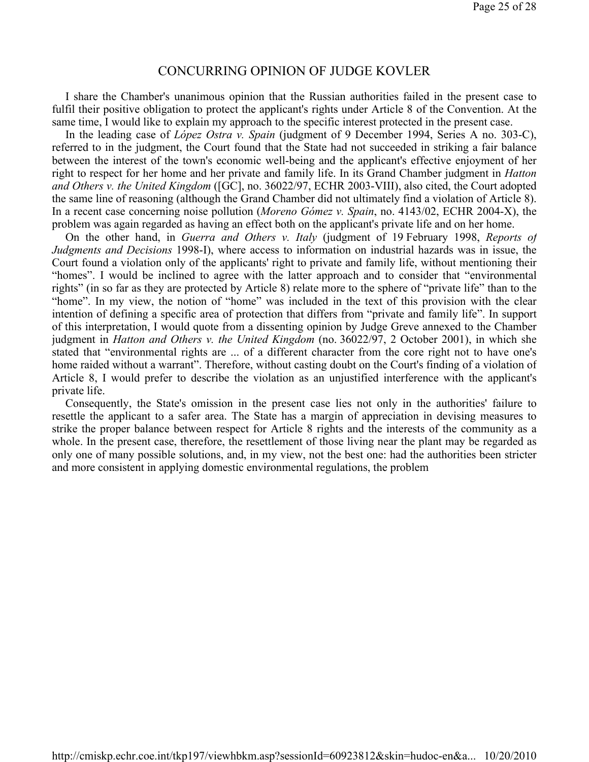# CONCURRING OPINION OF JUDGE KOVLER

I share the Chamber's unanimous opinion that the Russian authorities failed in the present case to fulfil their positive obligation to protect the applicant's rights under Article 8 of the Convention. At the same time, I would like to explain my approach to the specific interest protected in the present case.

In the leading case of *López Ostra v. Spain* (judgment of 9 December 1994, Series A no. 303-C), referred to in the judgment, the Court found that the State had not succeeded in striking a fair balance between the interest of the town's economic well-being and the applicant's effective enjoyment of her right to respect for her home and her private and family life. In its Grand Chamber judgment in *Hatton and Others v. the United Kingdom* ([GC], no. 36022/97, ECHR 2003-VIII), also cited, the Court adopted the same line of reasoning (although the Grand Chamber did not ultimately find a violation of Article 8). In a recent case concerning noise pollution (*Moreno Gómez v. Spain*, no. 4143/02, ECHR 2004-X), the problem was again regarded as having an effect both on the applicant's private life and on her home.

On the other hand, in *Guerra and Others v. Italy* (judgment of 19 February 1998, *Reports of Judgments and Decisions* 1998-I), where access to information on industrial hazards was in issue, the Court found a violation only of the applicants' right to private and family life, without mentioning their "homes". I would be inclined to agree with the latter approach and to consider that "environmental rights" (in so far as they are protected by Article 8) relate more to the sphere of "private life" than to the "home". In my view, the notion of "home" was included in the text of this provision with the clear intention of defining a specific area of protection that differs from "private and family life". In support of this interpretation, I would quote from a dissenting opinion by Judge Greve annexed to the Chamber judgment in *Hatton and Others v. the United Kingdom* (no. 36022/97, 2 October 2001), in which she stated that "environmental rights are ... of a different character from the core right not to have one's home raided without a warrant". Therefore, without casting doubt on the Court's finding of a violation of Article 8, I would prefer to describe the violation as an unjustified interference with the applicant's private life.

Consequently, the State's omission in the present case lies not only in the authorities' failure to resettle the applicant to a safer area. The State has a margin of appreciation in devising measures to strike the proper balance between respect for Article 8 rights and the interests of the community as a whole. In the present case, therefore, the resettlement of those living near the plant may be regarded as only one of many possible solutions, and, in my view, not the best one: had the authorities been stricter and more consistent in applying domestic environmental regulations, the problem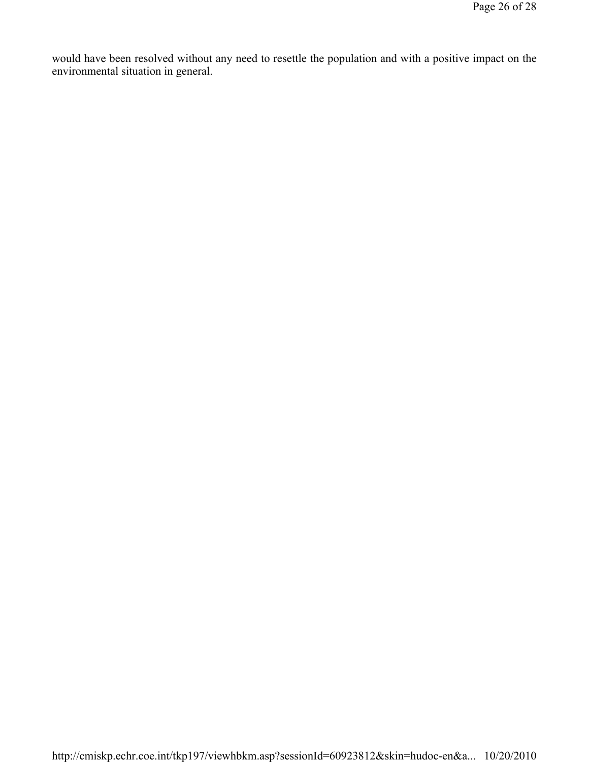would have been resolved without any need to resettle the population and with a positive impact on the environmental situation in general.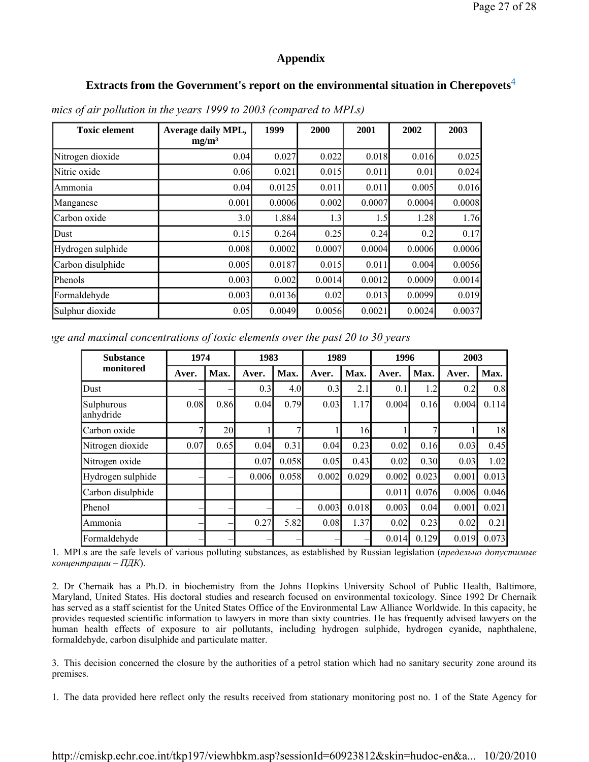## **Appendix**

## **Extracts from the Government's report on the environmental situation in Cherepovets**<sup>4</sup>

| <b>Toxic element</b> | Average daily MPL,<br>mg/m <sup>3</sup> | 1999   | 2000   | 2001   | 2002   | 2003   |
|----------------------|-----------------------------------------|--------|--------|--------|--------|--------|
| Nitrogen dioxide     | 0.04                                    | 0.027  | 0.022  | 0.018  | 0.016  | 0.025  |
| Nitric oxide         | 0.06                                    | 0.021  | 0.015  | 0.011  | 0.01   | 0.024  |
| Ammonia              | 0.04                                    | 0.0125 | 0.011  | 0.011  | 0.005  | 0.016  |
| Manganese            | 0.001                                   | 0.0006 | 0.002  | 0.0007 | 0.0004 | 0.0008 |
| Carbon oxide         | 3.0                                     | 1.884  | 1.3    | 1.5    | 1.28   | 1.76   |
| Dust                 | 0.15                                    | 0.264  | 0.25   | 0.24   | 0.2    | 0.17   |
| Hydrogen sulphide    | 0.008                                   | 0.0002 | 0.0007 | 0.0004 | 0.0006 | 0.0006 |
| Carbon disulphide    | 0.005                                   | 0.0187 | 0.015  | 0.011  | 0.004  | 0.0056 |
| Phenols              | 0.003                                   | 0.002  | 0.0014 | 0.0012 | 0.0009 | 0.0014 |
| Formaldehyde         | 0.003                                   | 0.0136 | 0.02   | 0.013  | 0.0099 | 0.019  |
| Sulphur dioxide      | 0.05                                    | 0.0049 | 0.0056 | 0.0021 | 0.0024 | 0.0037 |

*mics of air pollution in the years 1999 to 2003 (compared to MPLs)* 

*age and maximal concentrations of toxic elements over the past 20 to 30 years* 

| <b>Substance</b><br>monitored | 1974  |      | 1983  |       | 1989  |       | 1996  |       | 2003  |       |
|-------------------------------|-------|------|-------|-------|-------|-------|-------|-------|-------|-------|
|                               | Aver. | Max. | Aver. | Max.  | Aver. | Max.  | Aver. | Max.  | Aver. | Max.  |
| Dust                          |       |      | 0.3   | 4.0   | 0.3   | 2.1   | 0.1   | 1.2   | 0.2   | 0.8   |
| Sulphurous<br>anhydride       | 0.08  | 0.86 | 0.04  | 0.79  | 0.03  | 1.17  | 0.004 | 0.16  | 0.004 | 0.114 |
| Carbon oxide                  | 7     | 20   |       | 7     |       | 16    |       | 7     |       | 18    |
| Nitrogen dioxide              | 0.07  | 0.65 | 0.04  | 0.31  | 0.04  | 0.23  | 0.02  | 0.16  | 0.03  | 0.45  |
| Nitrogen oxide                |       |      | 0.07  | 0.058 | 0.05  | 0.43  | 0.02  | 0.30  | 0.03  | 1.02  |
| Hydrogen sulphide             |       |      | 0.006 | 0.058 | 0.002 | 0.029 | 0.002 | 0.023 | 0.001 | 0.013 |
| Carbon disulphide             |       |      |       |       |       |       | 0.011 | 0.076 | 0.006 | 0.046 |
| Phenol                        |       |      |       |       | 0.003 | 0.018 | 0.003 | 0.04  | 0.001 | 0.021 |
| Ammonia                       |       |      | 0.27  | 5.82  | 0.08  | 1.37  | 0.02  | 0.23  | 0.02  | 0.21  |
| Formaldehyde                  |       |      |       |       |       |       | 0.014 | 0.129 | 0.019 | 0.073 |

1. MPLs are the safe levels of various polluting substances, as established by Russian legislation (*предельно допустимые концентрации – ПДК*).

2. Dr Chernaik has a Ph.D. in biochemistry from the Johns Hopkins University School of Public Health, Baltimore, Maryland, United States. His doctoral studies and research focused on environmental toxicology. Since 1992 Dr Chernaik has served as a staff scientist for the United States Office of the Environmental Law Alliance Worldwide. In this capacity, he provides requested scientific information to lawyers in more than sixty countries. He has frequently advised lawyers on the human health effects of exposure to air pollutants, including hydrogen sulphide, hydrogen cyanide, naphthalene, formaldehyde, carbon disulphide and particulate matter.

3. This decision concerned the closure by the authorities of a petrol station which had no sanitary security zone around its premises.

1. The data provided here reflect only the results received from stationary monitoring post no. 1 of the State Agency for